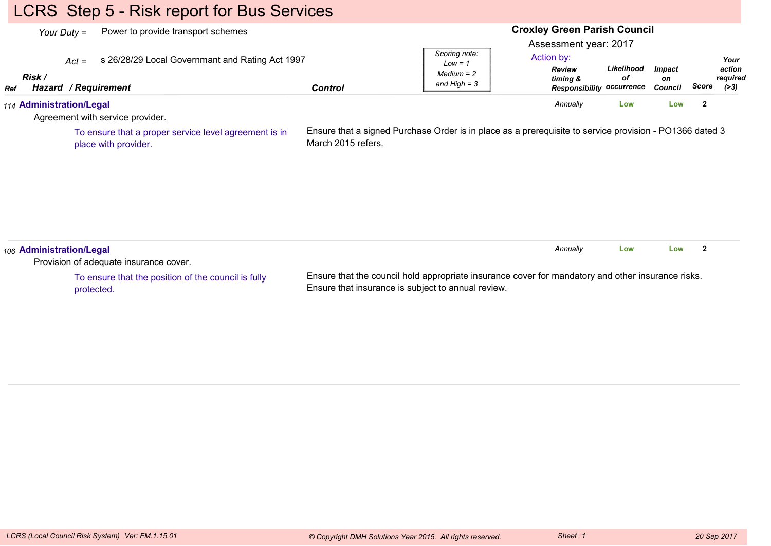# LCRS Step 5 - Risk report for Bus Services

|               | Power to provide transport schemes<br>Your Duty $=$                                |                    | <b>Croxley Green Parish Council</b><br>Assessment year: 2017                                            |                                                                             |                  |                                |                |                                      |
|---------------|------------------------------------------------------------------------------------|--------------------|---------------------------------------------------------------------------------------------------------|-----------------------------------------------------------------------------|------------------|--------------------------------|----------------|--------------------------------------|
| Risk /<br>Ref | s 26/28/29 Local Governmant and Rating Act 1997<br>$Act =$<br>Hazard / Requirement | <b>Control</b>     | Scoring note:<br>$Low = 1$<br>$Median = 2$<br>and $High = 3$                                            | Action by:<br><b>Review</b><br>timing &<br><b>Responsibility occurrence</b> | Likelihood<br>οf | <b>Impact</b><br>on<br>Council | Score          | Your<br>action<br>required<br>( > 3) |
|               | 114 Administration/Legal<br>Agreement with service provider.                       |                    |                                                                                                         | Annually                                                                    | Low              | Low                            | $\overline{2}$ |                                      |
|               | To ensure that a proper service level agreement is in<br>place with provider.      | March 2015 refers. | Ensure that a signed Purchase Order is in place as a prerequisite to service provision - PO1366 dated 3 |                                                                             |                  |                                |                |                                      |
|               |                                                                                    |                    |                                                                                                         |                                                                             |                  |                                |                |                                      |

To ensure that the position of the council is fullyprotected.

Ensure that the council hold appropriate insurance cover for mandatory and other insurance risks.Ensure that insurance is subject to annual review.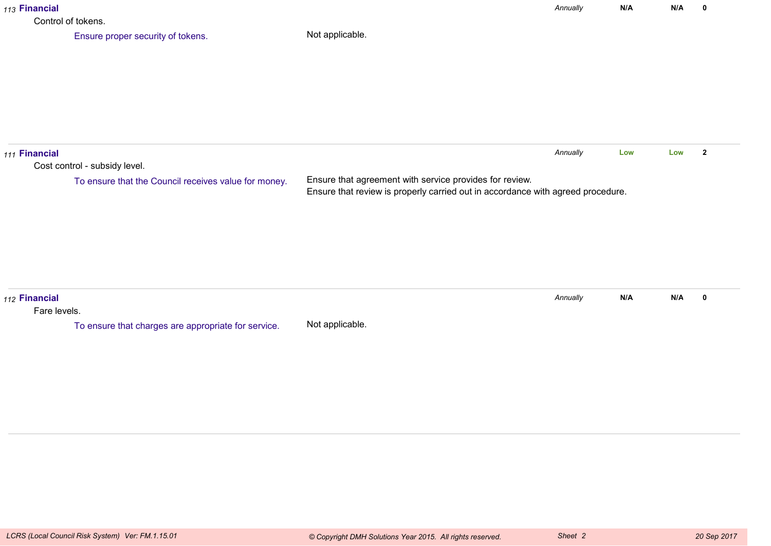| 113 Financial<br>Control of tokens. |                                                                                       |                                                                                                                                            | Annually | N/A | N/A | 0                       |
|-------------------------------------|---------------------------------------------------------------------------------------|--------------------------------------------------------------------------------------------------------------------------------------------|----------|-----|-----|-------------------------|
|                                     | Ensure proper security of tokens.                                                     | Not applicable.                                                                                                                            |          |     |     |                         |
| 111 Financial                       | Cost control - subsidy level.<br>To ensure that the Council receives value for money. | Ensure that agreement with service provides for review.<br>Ensure that review is properly carried out in accordance with agreed procedure. | Annually | Low | Low | $\overline{\mathbf{2}}$ |
| 112 Financial<br>Fare levels.       | To ensure that charges are appropriate for service.                                   | Not applicable.                                                                                                                            | Annually | N/A | N/A | $\mathbf 0$             |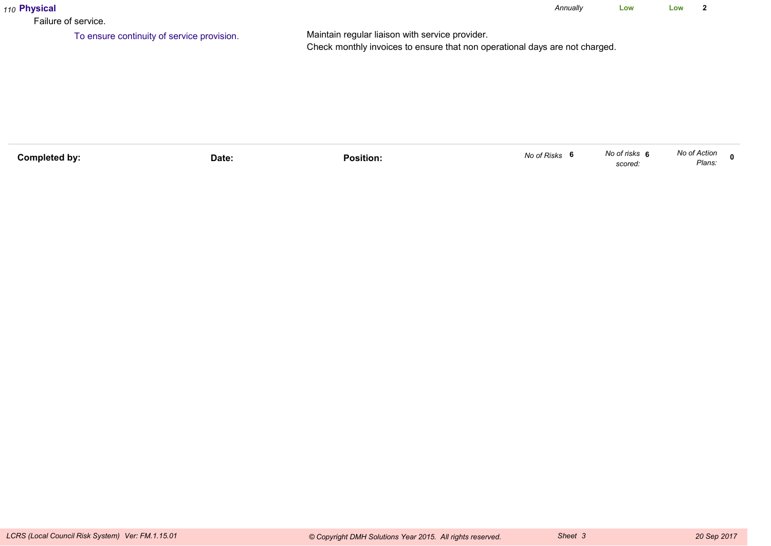| 110 Physical<br>Failure of service.        |                                                                                                                                | Annually | Low | Low |  |
|--------------------------------------------|--------------------------------------------------------------------------------------------------------------------------------|----------|-----|-----|--|
| To ensure continuity of service provision. | Maintain regular liaison with service provider.<br>Check monthly invoices to ensure that non operational days are not charged. |          |     |     |  |

| <b>Completed by:</b><br>Position.<br>Date: | No of Risks<br>- 6 | No of risks <b>۱</b><br>scored | No of Action<br>Plans: |  |
|--------------------------------------------|--------------------|--------------------------------|------------------------|--|
|--------------------------------------------|--------------------|--------------------------------|------------------------|--|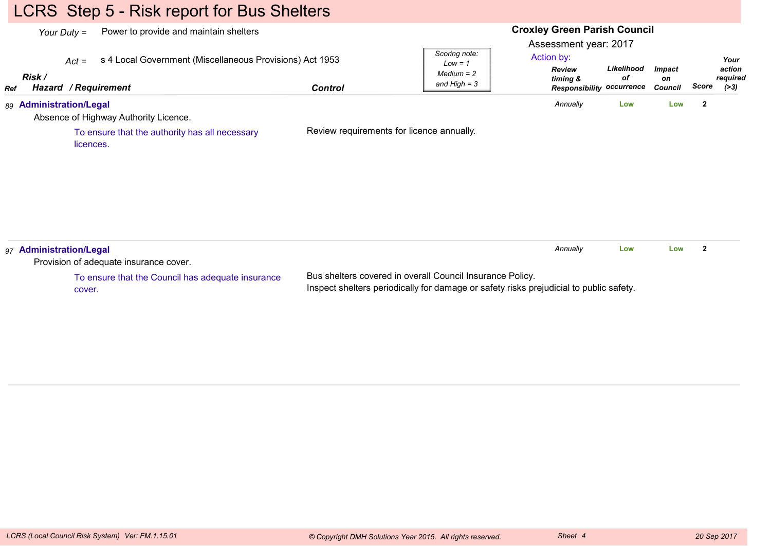# LCRS Step 5 - Risk report for Bus Shelters

| Power to provide and maintain shelters<br>Your Duty $=$<br>s 4 Local Government (Miscellaneous Provisions) Act 1953<br>$Act =$<br>Risk /<br>Hazard / Requirement<br>Ref | <b>Control</b> | Scoring note:<br>$Low = 1$<br>$Median = 2$<br>and $High = 3$ | <b>Croxley Green Parish Council</b><br>Assessment year: 2017<br>Action by:<br>Review<br>timing &<br><b>Responsibility occurrence</b> | Likelihood<br>оf | <b>Impact</b><br>on<br><b>Council</b> | Score          | Your<br>action<br>required<br>( > 3) |
|-------------------------------------------------------------------------------------------------------------------------------------------------------------------------|----------------|--------------------------------------------------------------|--------------------------------------------------------------------------------------------------------------------------------------|------------------|---------------------------------------|----------------|--------------------------------------|
| 89 Administration/Legal<br>Absence of Highway Authority Licence.<br>To ensure that the authority has all necessary<br>licences.                                         |                | Review requirements for licence annually.                    | Annually                                                                                                                             | Low              | Low                                   | $\overline{2}$ |                                      |
| 97 Administration/Legal<br>Provision of adequate insurance cover.                                                                                                       |                |                                                              | Annually                                                                                                                             | Low              | Low                                   | $\mathbf{2}$   |                                      |

To ensure that the Council has adequate insurancecover.

Bus shelters covered in overall Council Insurance Policy.Inspect shelters periodically for damage or safety risks prejudicial to public safety.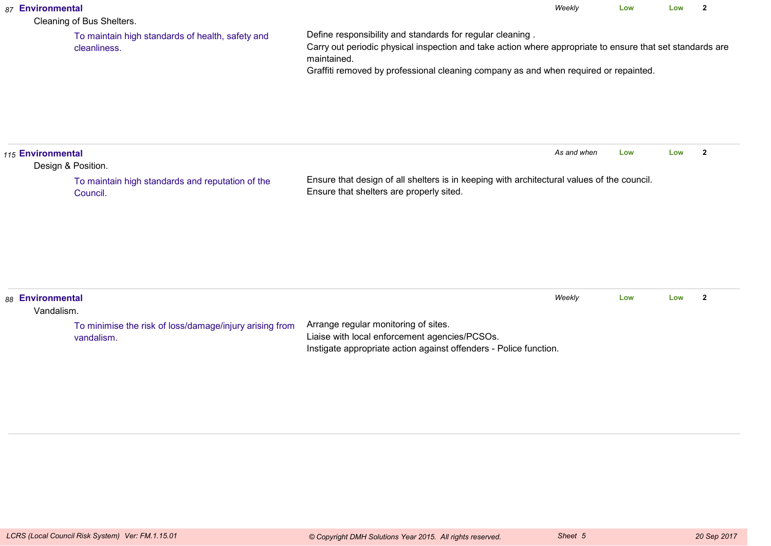| 87 Environmental               | Cleaning of Bus Shelters.                                             |                                                                                                                                                                                                                                                                               | Weekly      | Low | Low | $\overline{2}$ |
|--------------------------------|-----------------------------------------------------------------------|-------------------------------------------------------------------------------------------------------------------------------------------------------------------------------------------------------------------------------------------------------------------------------|-------------|-----|-----|----------------|
|                                | To maintain high standards of health, safety and<br>cleanliness.      | Define responsibility and standards for regular cleaning.<br>Carry out periodic physical inspection and take action where appropriate to ensure that set standards are<br>maintained.<br>Graffiti removed by professional cleaning company as and when required or repainted. |             |     |     |                |
| 115 Environmental              | Design & Position.                                                    |                                                                                                                                                                                                                                                                               | As and when | Low | Low | $\overline{2}$ |
|                                | To maintain high standards and reputation of the<br>Council.          | Ensure that design of all shelters is in keeping with architectural values of the council.<br>Ensure that shelters are properly sited.                                                                                                                                        |             |     |     |                |
| 88 Environmental<br>Vandalism. |                                                                       |                                                                                                                                                                                                                                                                               | Weekly      | Low | Low | $\overline{2}$ |
|                                | To minimise the risk of loss/damage/injury arising from<br>vandalism. | Arrange regular monitoring of sites.<br>Liaise with local enforcement agencies/PCSOs.<br>Instigate appropriate action against offenders - Police function.                                                                                                                    |             |     |     |                |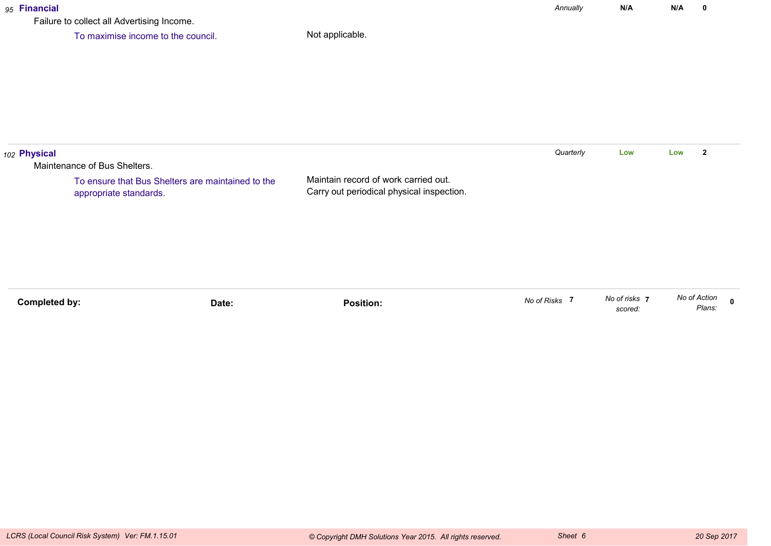### *95* **Financial**

Failure to collect all Advertising Income.

To maximise income to the council.

| 102 Physical |                                                                             |                                                                                   | Quarterly | Low | Low | $\overline{2}$ |
|--------------|-----------------------------------------------------------------------------|-----------------------------------------------------------------------------------|-----------|-----|-----|----------------|
|              | Maintenance of Bus Shelters.                                                |                                                                                   |           |     |     |                |
|              | To ensure that Bus Shelters are maintained to the<br>appropriate standards. | Maintain record of work carried out.<br>Carry out periodical physical inspection. |           |     |     |                |
|              |                                                                             |                                                                                   |           |     |     |                |
|              |                                                                             |                                                                                   |           |     |     |                |

| No of Action | Plans.                 |
|--------------|------------------------|
|              | No of risks<br>scored. |

*Annually*

**N/A**

**N/A <sup>0</sup>**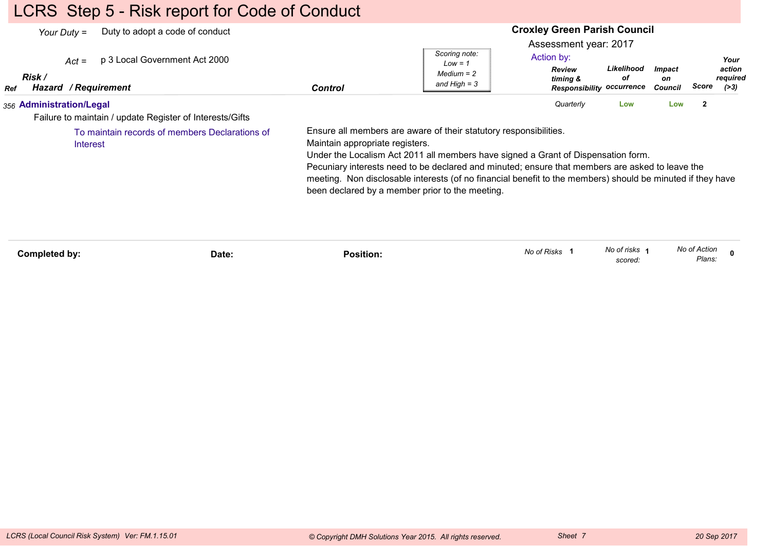# LCRS Step 5 - Risk report for Code of Conduct

|            | Duty to adopt a code of conduct<br>Your Duty $=$                                     |       |                                 |                                                                                                                                                                                                                                                                                                                                                                                                                            | <b>Croxley Green Parish Council</b>                                                                  |                          |                                |                        |                                      |
|------------|--------------------------------------------------------------------------------------|-------|---------------------------------|----------------------------------------------------------------------------------------------------------------------------------------------------------------------------------------------------------------------------------------------------------------------------------------------------------------------------------------------------------------------------------------------------------------------------|------------------------------------------------------------------------------------------------------|--------------------------|--------------------------------|------------------------|--------------------------------------|
| <b>Ref</b> | p 3 Local Government Act 2000<br>$Act =$<br>Risk /<br>Hazard / Requirement           |       | <b>Control</b>                  | Scoring note:<br>$Low = 1$<br>$Median = 2$<br>and High $=$ 3                                                                                                                                                                                                                                                                                                                                                               | Assessment year: 2017<br>Action by:<br><b>Review</b><br>timing &<br><b>Responsibility occurrence</b> | Likelihood<br>οf         | <b>Impact</b><br>on<br>Council | Score                  | Your<br>action<br>required<br>( > 3) |
|            | 356 Administration/Legal<br>Failure to maintain / update Register of Interests/Gifts |       |                                 |                                                                                                                                                                                                                                                                                                                                                                                                                            | Quarterly                                                                                            | Low                      | Low                            | $\overline{2}$         |                                      |
|            | To maintain records of members Declarations of<br>Interest                           |       | Maintain appropriate registers. | Ensure all members are aware of their statutory responsibilities.<br>Under the Localism Act 2011 all members have signed a Grant of Dispensation form.<br>Pecuniary interests need to be declared and minuted; ensure that members are asked to leave the<br>meeting. Non disclosable interests (of no financial benefit to the members) should be minuted if they have<br>been declared by a member prior to the meeting. |                                                                                                      |                          |                                |                        |                                      |
|            | Completed by:                                                                        | Date: | <b>Position:</b>                |                                                                                                                                                                                                                                                                                                                                                                                                                            | No of Risks 1                                                                                        | No of risks 1<br>scored: |                                | No of Action<br>Plans: |                                      |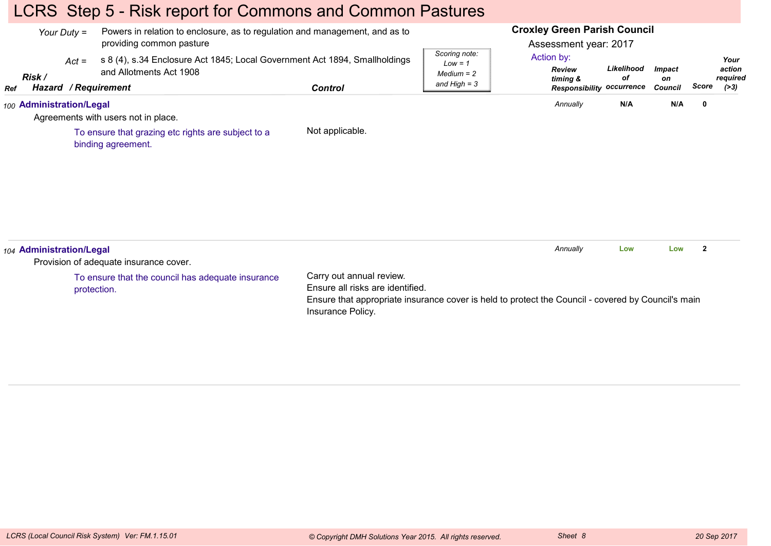# LCRS Step 5 - Risk report for Commons and Common Pastures

|            | Your Duty $=$            | Powers in relation to enclosure, as to regulation and management, and as to<br>providing common pasture |                                                                                                                                                                                         |                                                              | <b>Croxley Green Parish Council</b><br>Assessment year: 2017 |                  |                     |                |                            |
|------------|--------------------------|---------------------------------------------------------------------------------------------------------|-----------------------------------------------------------------------------------------------------------------------------------------------------------------------------------------|--------------------------------------------------------------|--------------------------------------------------------------|------------------|---------------------|----------------|----------------------------|
|            | $Act =$<br>Risk /        | s 8 (4), s.34 Enclosure Act 1845; Local Government Act 1894, Smallholdings<br>and Allotments Act 1908   |                                                                                                                                                                                         | Scoring note:<br>$Low = 1$<br>$Median = 2$<br>and High $=$ 3 | Action by:<br><b>Review</b><br>timing &                      | Likelihood<br>оf | <b>Impact</b><br>on |                | Your<br>action<br>required |
| <b>Ref</b> | Hazard / Requirement     |                                                                                                         | <b>Control</b>                                                                                                                                                                          |                                                              | <b>Responsibility occurrence</b>                             |                  | Council             | Score          | ( > 3)                     |
|            | 100 Administration/Legal | Agreements with users not in place.                                                                     |                                                                                                                                                                                         |                                                              | Annually                                                     | N/A              | N/A                 | $\mathbf 0$    |                            |
|            |                          | To ensure that grazing etc rights are subject to a<br>binding agreement.                                | Not applicable.                                                                                                                                                                         |                                                              |                                                              |                  |                     |                |                            |
|            | 104 Administration/Legal | Provision of adequate insurance cover.                                                                  |                                                                                                                                                                                         |                                                              | Annually                                                     | Low              | Low                 | $\overline{2}$ |                            |
|            |                          | To ensure that the council has adequate insurance<br>protection.                                        | Carry out annual review.<br>Ensure all risks are identified.<br>Ensure that appropriate insurance cover is held to protect the Council - covered by Council's main<br>Insurance Policy. |                                                              |                                                              |                  |                     |                |                            |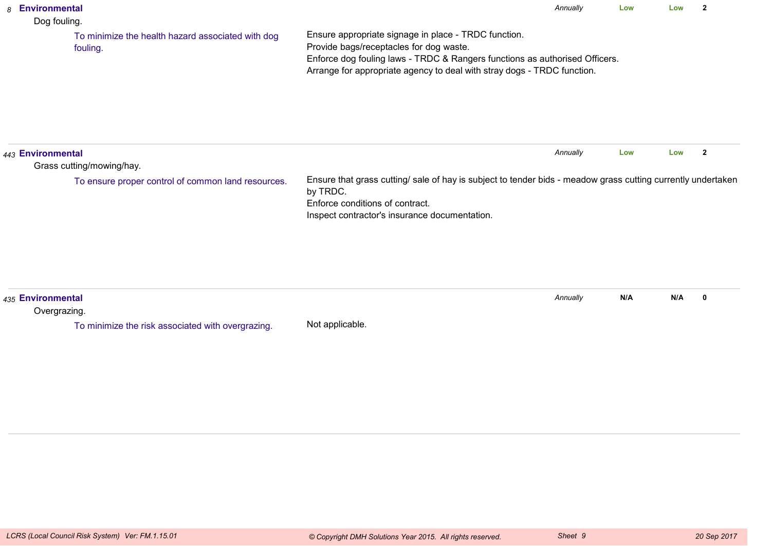| 8 Environmental<br>Dog fouling.   |                                                               |                                                                                                                                                                                                                                                           | Annually | Low | Low | $\overline{2}$ |
|-----------------------------------|---------------------------------------------------------------|-----------------------------------------------------------------------------------------------------------------------------------------------------------------------------------------------------------------------------------------------------------|----------|-----|-----|----------------|
|                                   | To minimize the health hazard associated with dog<br>fouling. | Ensure appropriate signage in place - TRDC function.<br>Provide bags/receptacles for dog waste.<br>Enforce dog fouling laws - TRDC & Rangers functions as authorised Officers.<br>Arrange for appropriate agency to deal with stray dogs - TRDC function. |          |     |     |                |
| 443 Environmental                 | Grass cutting/mowing/hay.                                     |                                                                                                                                                                                                                                                           | Annually | Low | Low | $\overline{2}$ |
|                                   | To ensure proper control of common land resources.            | Ensure that grass cutting/ sale of hay is subject to tender bids - meadow grass cutting currently undertaken<br>by TRDC.<br>Enforce conditions of contract.<br>Inspect contractor's insurance documentation.                                              |          |     |     |                |
| 435 Environmental<br>Overgrazing. |                                                               |                                                                                                                                                                                                                                                           | Annually | N/A | N/A | $\mathbf 0$    |
|                                   | To minimize the risk associated with overgrazing.             | Not applicable.                                                                                                                                                                                                                                           |          |     |     |                |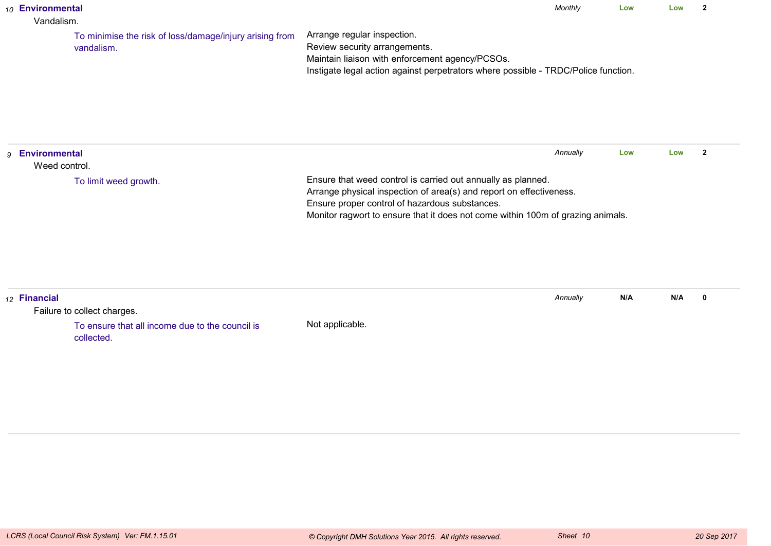| 10 Environmental<br>Vandalism.             |                                                                       |                                                                                                                                                                                                                                                                          | Monthly  | Low | Low | $\overline{2}$ |
|--------------------------------------------|-----------------------------------------------------------------------|--------------------------------------------------------------------------------------------------------------------------------------------------------------------------------------------------------------------------------------------------------------------------|----------|-----|-----|----------------|
|                                            | To minimise the risk of loss/damage/injury arising from<br>vandalism. | Arrange regular inspection.<br>Review security arrangements.<br>Maintain liaison with enforcement agency/PCSOs.<br>Instigate legal action against perpetrators where possible - TRDC/Police function.                                                                    |          |     |     |                |
| <b>Environmental</b><br>9<br>Weed control. |                                                                       |                                                                                                                                                                                                                                                                          | Annually | Low | Low | $\overline{2}$ |
|                                            | To limit weed growth.                                                 | Ensure that weed control is carried out annually as planned.<br>Arrange physical inspection of area(s) and report on effectiveness.<br>Ensure proper control of hazardous substances.<br>Monitor ragwort to ensure that it does not come within 100m of grazing animals. |          |     |     |                |
| 12 Financial                               | Failure to collect charges.                                           |                                                                                                                                                                                                                                                                          | Annually | N/A | N/A | $\mathbf 0$    |
|                                            | To ensure that all income due to the council is<br>collected.         | Not applicable.                                                                                                                                                                                                                                                          |          |     |     |                |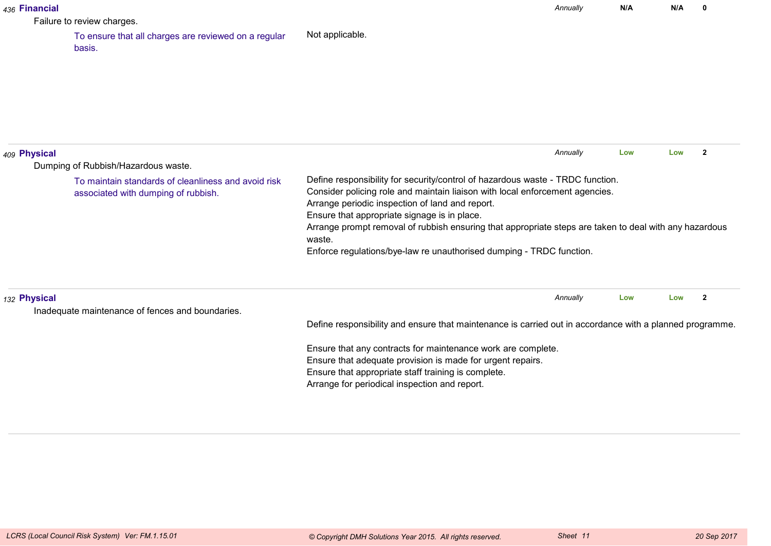| 436 Financial |                                                                                            |                                                                                                                                                                                                                                                                   | Annually | N/A | N/A                   | $\mathbf{0}$ |
|---------------|--------------------------------------------------------------------------------------------|-------------------------------------------------------------------------------------------------------------------------------------------------------------------------------------------------------------------------------------------------------------------|----------|-----|-----------------------|--------------|
|               | Failure to review charges.                                                                 |                                                                                                                                                                                                                                                                   |          |     |                       |              |
|               | To ensure that all charges are reviewed on a regular<br>basis.                             | Not applicable.                                                                                                                                                                                                                                                   |          |     |                       |              |
|               |                                                                                            |                                                                                                                                                                                                                                                                   |          |     |                       |              |
| 409 Physical  | Dumping of Rubbish/Hazardous waste.                                                        |                                                                                                                                                                                                                                                                   | Annually | Low | $\overline{2}$<br>Low |              |
|               | To maintain standards of cleanliness and avoid risk<br>associated with dumping of rubbish. | Define responsibility for security/control of hazardous waste - TRDC function.<br>Consider policing role and maintain liaison with local enforcement agencies.<br>Arrange periodic inspection of land and report.<br>Ensure that appropriate signage is in place. |          |     |                       |              |
|               |                                                                                            | Arrange prompt removal of rubbish ensuring that appropriate steps are taken to deal with any hazardous<br>waste.<br>Enforce regulations/bye-law re unauthorised dumping - TRDC function.                                                                          |          |     |                       |              |
| 132 Physical  | Inadequate maintenance of fences and boundaries.                                           |                                                                                                                                                                                                                                                                   | Annually | Low | Low                   | $\mathbf{2}$ |
|               |                                                                                            | Define responsibility and ensure that maintenance is carried out in accordance with a planned programme.                                                                                                                                                          |          |     |                       |              |
|               |                                                                                            | Ensure that any contracts for maintenance work are complete.                                                                                                                                                                                                      |          |     |                       |              |
|               |                                                                                            | Ensure that adequate provision is made for urgent repairs.                                                                                                                                                                                                        |          |     |                       |              |
|               |                                                                                            | Ensure that appropriate staff training is complete.                                                                                                                                                                                                               |          |     |                       |              |
|               |                                                                                            | Arrange for periodical inspection and report.                                                                                                                                                                                                                     |          |     |                       |              |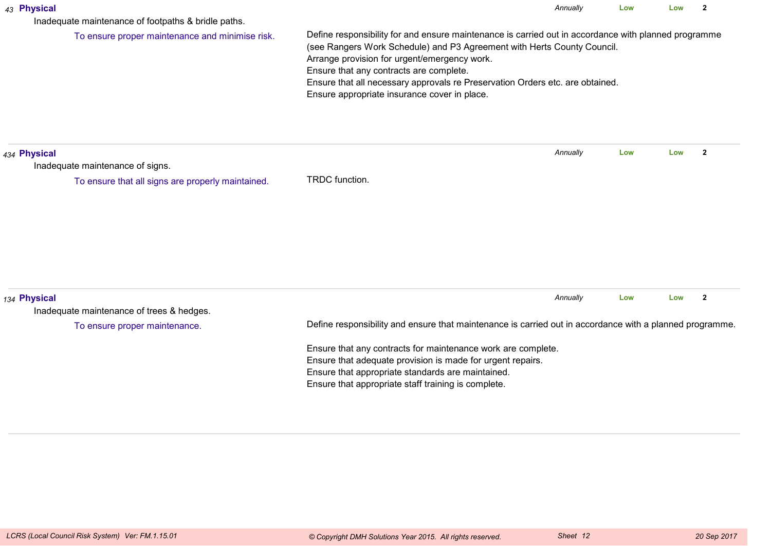| 43 Physical<br>Inadequate maintenance of footpaths & bridle paths.                                    |                                                                                                                                                                                                                                                                                                                                                                                                             | Annually | Low | Low | $\overline{2}$ |  |  |
|-------------------------------------------------------------------------------------------------------|-------------------------------------------------------------------------------------------------------------------------------------------------------------------------------------------------------------------------------------------------------------------------------------------------------------------------------------------------------------------------------------------------------------|----------|-----|-----|----------------|--|--|
| To ensure proper maintenance and minimise risk.                                                       | Define responsibility for and ensure maintenance is carried out in accordance with planned programme<br>(see Rangers Work Schedule) and P3 Agreement with Herts County Council.<br>Arrange provision for urgent/emergency work.<br>Ensure that any contracts are complete.<br>Ensure that all necessary approvals re Preservation Orders etc. are obtained.<br>Ensure appropriate insurance cover in place. |          |     |     |                |  |  |
| 434 Physical<br>Inadequate maintenance of signs.<br>To ensure that all signs are properly maintained. |                                                                                                                                                                                                                                                                                                                                                                                                             | Annually | Low | Low | $\mathbf{2}$   |  |  |
|                                                                                                       | TRDC function.                                                                                                                                                                                                                                                                                                                                                                                              |          |     |     |                |  |  |
| 134 Physical<br>Inadequate maintenance of trees & hedges.                                             |                                                                                                                                                                                                                                                                                                                                                                                                             | Annually | Low | Low | $\overline{2}$ |  |  |
| To ensure proper maintenance.                                                                         | Define responsibility and ensure that maintenance is carried out in accordance with a planned programme.                                                                                                                                                                                                                                                                                                    |          |     |     |                |  |  |
|                                                                                                       | Ensure that any contracts for maintenance work are complete.<br>Ensure that adequate provision is made for urgent repairs.<br>Ensure that appropriate standards are maintained.<br>Ensure that appropriate staff training is complete.                                                                                                                                                                      |          |     |     |                |  |  |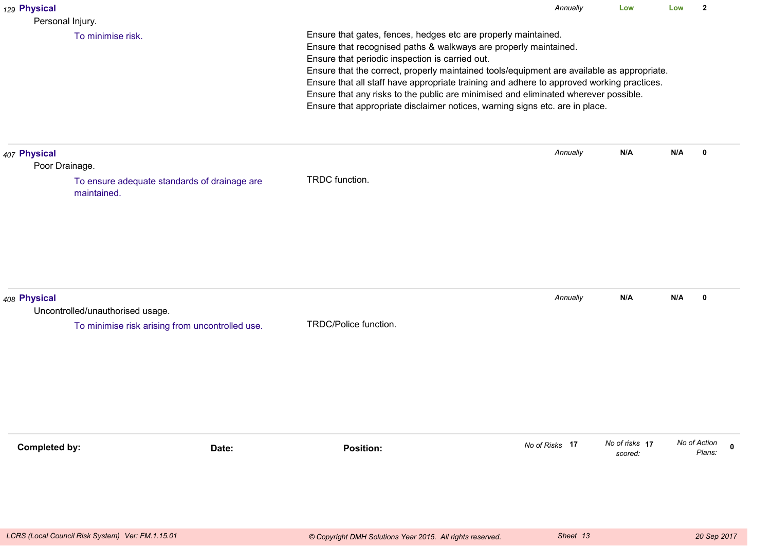| 129 Physical                                     |                                                 |                                                                                                                                                                                                                                                                                                                                                                                                                                                                                                                                                         | Annually       | Low                       | Low | $\overline{2}$                        |  |  |
|--------------------------------------------------|-------------------------------------------------|---------------------------------------------------------------------------------------------------------------------------------------------------------------------------------------------------------------------------------------------------------------------------------------------------------------------------------------------------------------------------------------------------------------------------------------------------------------------------------------------------------------------------------------------------------|----------------|---------------------------|-----|---------------------------------------|--|--|
| Personal Injury.<br>To minimise risk.            |                                                 | Ensure that gates, fences, hedges etc are properly maintained.<br>Ensure that recognised paths & walkways are properly maintained.<br>Ensure that periodic inspection is carried out.<br>Ensure that the correct, properly maintained tools/equipment are available as appropriate.<br>Ensure that all staff have appropriate training and adhere to approved working practices.<br>Ensure that any risks to the public are minimised and eliminated wherever possible.<br>Ensure that appropriate disclaimer notices, warning signs etc. are in place. |                |                           |     |                                       |  |  |
| 407 Physical<br>Poor Drainage.<br>maintained.    | To ensure adequate standards of drainage are    | TRDC function.                                                                                                                                                                                                                                                                                                                                                                                                                                                                                                                                          | Annually       | N/A                       | N/A | 0                                     |  |  |
| 408 Physical<br>Uncontrolled/unauthorised usage. | To minimise risk arising from uncontrolled use. | TRDC/Police function.                                                                                                                                                                                                                                                                                                                                                                                                                                                                                                                                   | Annually       | N/A                       | N/A | $\mathbf 0$                           |  |  |
| <b>Completed by:</b>                             | Date:                                           | <b>Position:</b>                                                                                                                                                                                                                                                                                                                                                                                                                                                                                                                                        | No of Risks 17 | No of risks 17<br>scored: |     | No of Action<br>$\mathbf 0$<br>Plans: |  |  |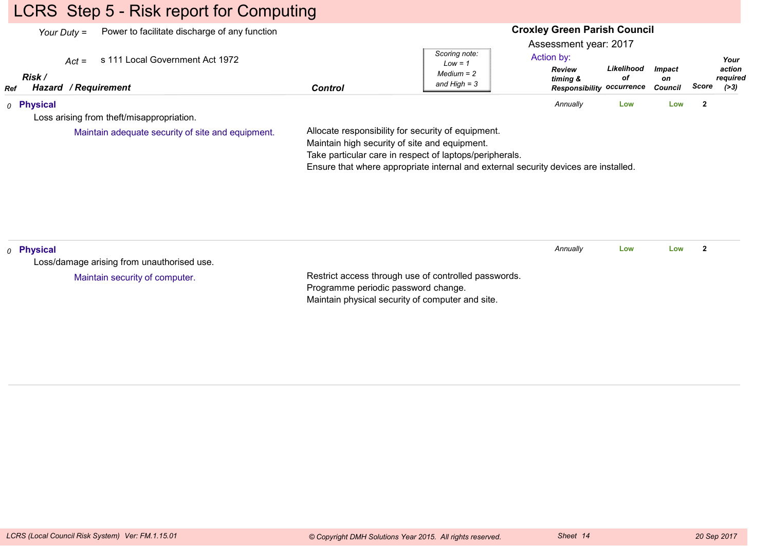# LCRS Step 5 - Risk report for Computing

| Power to facilitate discharge of any function<br>Your Duty $=$<br>s 111 Local Government Act 1972<br>$Act =$<br>Risk / |                                     | Scoring note:<br>$Low = 1$<br>$Median = 2$                                                                                                                                                                                                            | <b>Croxley Green Parish Council</b><br>Assessment year: 2017<br>Action by:<br><b>Review</b><br>timing & | Likelihood<br>οf | <b>Impact</b><br>on | Your<br>action<br>required |
|------------------------------------------------------------------------------------------------------------------------|-------------------------------------|-------------------------------------------------------------------------------------------------------------------------------------------------------------------------------------------------------------------------------------------------------|---------------------------------------------------------------------------------------------------------|------------------|---------------------|----------------------------|
| Hazard / Requirement<br>Ref                                                                                            | <b>Control</b>                      | and $High = 3$                                                                                                                                                                                                                                        | <b>Responsibility occurrence</b>                                                                        |                  | Council             | Score<br>( > 3)            |
| 0 Physical                                                                                                             |                                     |                                                                                                                                                                                                                                                       | Annually                                                                                                | Low              | Low                 | $\mathbf{2}$               |
| Loss arising from theft/misappropriation.                                                                              |                                     |                                                                                                                                                                                                                                                       |                                                                                                         |                  |                     |                            |
| Maintain adequate security of site and equipment.                                                                      |                                     | Allocate responsibility for security of equipment.<br>Maintain high security of site and equipment.<br>Take particular care in respect of laptops/peripherals.<br>Ensure that where appropriate internal and external security devices are installed. |                                                                                                         |                  |                     |                            |
| <sub>0</sub> Physical                                                                                                  |                                     |                                                                                                                                                                                                                                                       | Annually                                                                                                | Low              | Low                 | $\overline{2}$             |
| Loss/damage arising from unauthorised use.                                                                             |                                     |                                                                                                                                                                                                                                                       |                                                                                                         |                  |                     |                            |
| Maintain security of computer.                                                                                         | Programme periodic password change. | Restrict access through use of controlled passwords.<br>Maintain physical security of computer and site.                                                                                                                                              |                                                                                                         |                  |                     |                            |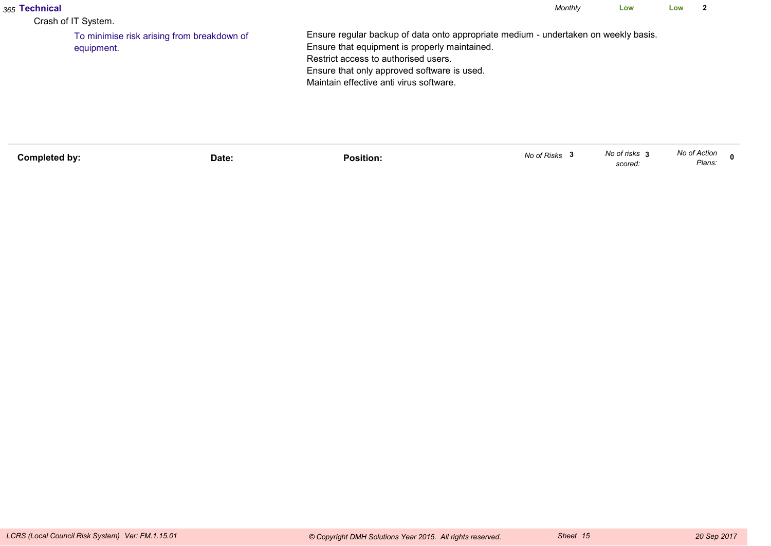| <sub>365</sub> Technical<br>Crash of IT System. |                                            |                                                                                                                                                                                                                                                                        | Monthly | Low | Low |  |
|-------------------------------------------------|--------------------------------------------|------------------------------------------------------------------------------------------------------------------------------------------------------------------------------------------------------------------------------------------------------------------------|---------|-----|-----|--|
| equipment.                                      | To minimise risk arising from breakdown of | Ensure regular backup of data onto appropriate medium - undertaken on weekly basis.<br>Ensure that equipment is properly maintained.<br>Restrict access to authorised users.<br>Ensure that only approved software is used.<br>Maintain effective anti virus software. |         |     |     |  |

| Completed by: | Date: | .<br>Position: | No of Risks | No of risks<br>scored: | No of Action<br>Plans: |  |
|---------------|-------|----------------|-------------|------------------------|------------------------|--|
|               |       |                |             |                        |                        |  |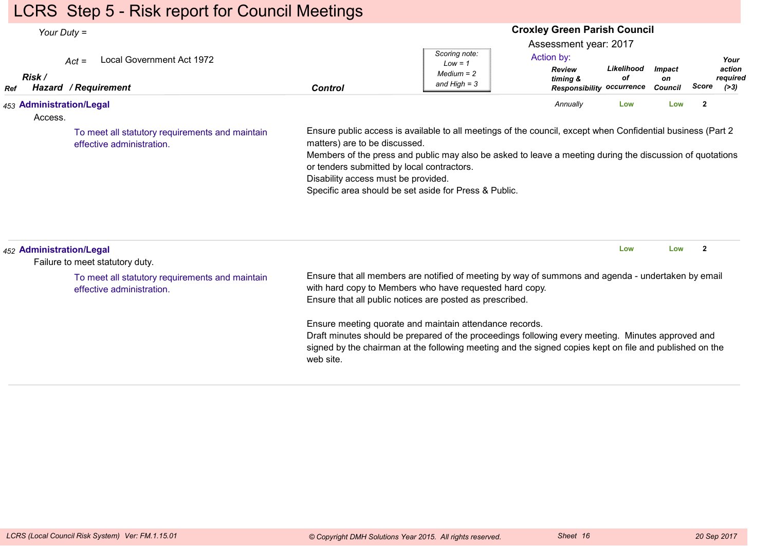# LCRS Step 5 - Risk report for Council Meetings

| Your Duty $=$                       |                                                                              |                                                                                                                                                                                                                                                                                                                                                                                                        | <b>Croxley Green Parish Council</b>                          |                                                                                                      |                  |                                       |                |                                      |  |
|-------------------------------------|------------------------------------------------------------------------------|--------------------------------------------------------------------------------------------------------------------------------------------------------------------------------------------------------------------------------------------------------------------------------------------------------------------------------------------------------------------------------------------------------|--------------------------------------------------------------|------------------------------------------------------------------------------------------------------|------------------|---------------------------------------|----------------|--------------------------------------|--|
| Risk /<br>Ref                       | Local Government Act 1972<br>$Act =$<br>Hazard / Requirement                 | <b>Control</b>                                                                                                                                                                                                                                                                                                                                                                                         | Scoring note:<br>$Low = 1$<br>$Median = 2$<br>and High $=$ 3 | Assessment year: 2017<br>Action by:<br><b>Review</b><br>timing &<br><b>Responsibility occurrence</b> | Likelihood<br>οf | <b>Impact</b><br>on<br><b>Council</b> | <b>Score</b>   | Your<br>action<br>required<br>( > 3) |  |
| 453 Administration/Legal<br>Access. |                                                                              |                                                                                                                                                                                                                                                                                                                                                                                                        |                                                              | Annually                                                                                             | Low              | Low                                   | $\overline{2}$ |                                      |  |
|                                     | To meet all statutory requirements and maintain<br>effective administration. | Ensure public access is available to all meetings of the council, except when Confidential business (Part 2<br>matters) are to be discussed.<br>Members of the press and public may also be asked to leave a meeting during the discussion of quotations<br>or tenders submitted by local contractors.<br>Disability access must be provided.<br>Specific area should be set aside for Press & Public. |                                                              |                                                                                                      |                  |                                       |                |                                      |  |
| 452 Administration/Legal            | Failure to meet statutory duty.                                              |                                                                                                                                                                                                                                                                                                                                                                                                        |                                                              |                                                                                                      | Low              | Low                                   | $\overline{2}$ |                                      |  |
|                                     | To meet all statutory requirements and maintain<br>effective administration. | Ensure that all members are notified of meeting by way of summons and agenda - undertaken by email<br>with hard copy to Members who have requested hard copy.<br>Ensure that all public notices are posted as prescribed.                                                                                                                                                                              |                                                              |                                                                                                      |                  |                                       |                |                                      |  |
|                                     |                                                                              | Ensure meeting quorate and maintain attendance records.<br>Draft minutes should be prepared of the proceedings following every meeting. Minutes approved and<br>signed by the chairman at the following meeting and the signed copies kept on file and published on the<br>web site.                                                                                                                   |                                                              |                                                                                                      |                  |                                       |                |                                      |  |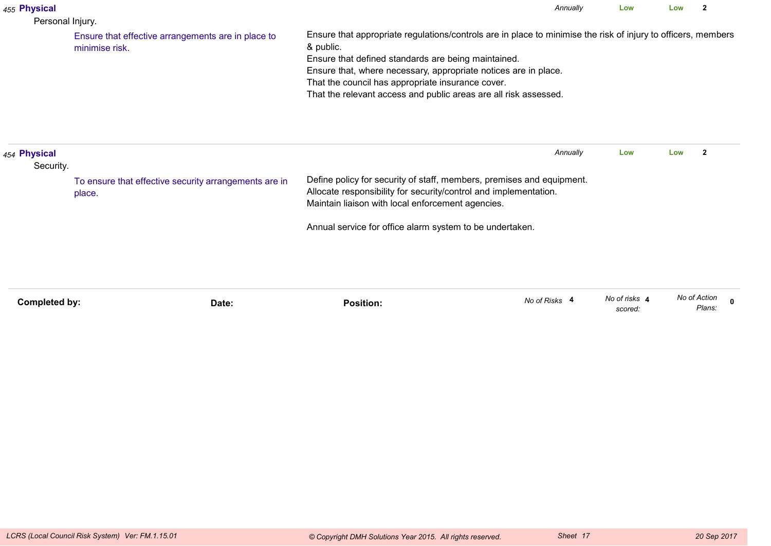| 455 Physical<br>Personal Injury.                                |                                                                      | Annually                                                                                                                                                                                                                                                                                                                                                                      | Low                      | Low          | 2                       |
|-----------------------------------------------------------------|----------------------------------------------------------------------|-------------------------------------------------------------------------------------------------------------------------------------------------------------------------------------------------------------------------------------------------------------------------------------------------------------------------------------------------------------------------------|--------------------------|--------------|-------------------------|
|                                                                 | Ensure that effective arrangements are in place to<br>minimise risk. | Ensure that appropriate regulations/controls are in place to minimise the risk of injury to officers, members<br>& public.<br>Ensure that defined standards are being maintained.<br>Ensure that, where necessary, appropriate notices are in place.<br>That the council has appropriate insurance cover.<br>That the relevant access and public areas are all risk assessed. |                          |              |                         |
| 454 Physical<br>Security.                                       |                                                                      | Annually                                                                                                                                                                                                                                                                                                                                                                      | Low                      | Low          | $\overline{\mathbf{2}}$ |
| To ensure that effective security arrangements are in<br>place. |                                                                      | Define policy for security of staff, members, premises and equipment.<br>Allocate responsibility for security/control and implementation.<br>Maintain liaison with local enforcement agencies.                                                                                                                                                                                |                          |              |                         |
|                                                                 |                                                                      | Annual service for office alarm system to be undertaken.                                                                                                                                                                                                                                                                                                                      |                          |              |                         |
| Completed by:                                                   | Date:                                                                | No of Risks 4<br><b>Position:</b>                                                                                                                                                                                                                                                                                                                                             | No of risks 4<br>scored: | No of Action | $\Omega$<br>Plans:      |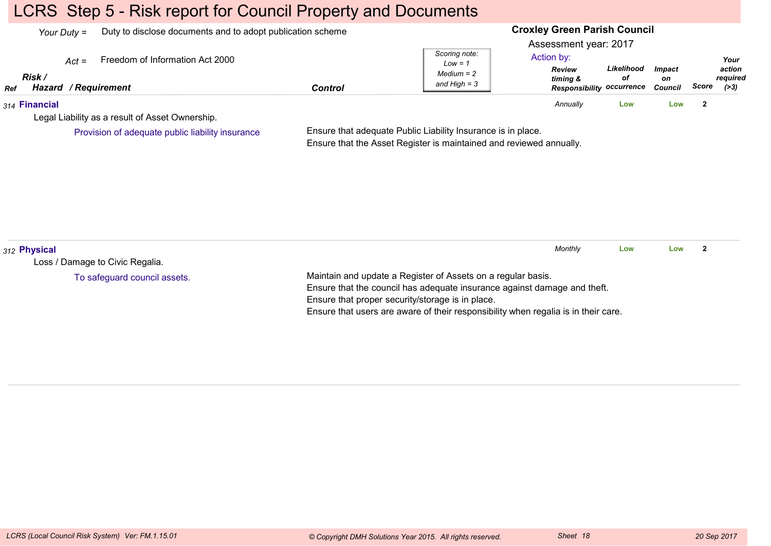# LCRS Step 5 - Risk report for Council Property and Documents

|     | Your Duty $=$                                    | Duty to disclose documents and to adopt publication scheme |         |                                                              | <b>Croxley Green Parish Council</b>                                                                  |                  |                         |       |                                      |  |
|-----|--------------------------------------------------|------------------------------------------------------------|---------|--------------------------------------------------------------|------------------------------------------------------------------------------------------------------|------------------|-------------------------|-------|--------------------------------------|--|
| Ref | $Act =$<br>Risk /<br><b>Hazard / Requirement</b> | Freedom of Information Act 2000                            | Control | Scoring note:<br>Low = 1<br>$Median = 2$<br>and High $=$ 3   | Assessment year: 2017<br>Action by:<br><b>Review</b><br>timing &<br><b>Responsibility occurrence</b> | Likelihood<br>οf | Impact<br>on<br>Council | Score | Your<br>action<br>required<br>( > 3) |  |
|     | 314 Financial                                    |                                                            |         |                                                              | Annually                                                                                             | Low              | Low                     | 2     |                                      |  |
|     |                                                  | Legal Liability as a result of Asset Ownership.            |         |                                                              |                                                                                                      |                  |                         |       |                                      |  |
|     |                                                  | Provision of adequate public liability insurance           |         | Ensure that adequate Public Liability Insurance is in place. |                                                                                                      |                  |                         |       |                                      |  |

Ensure that the Asset Register is maintained and reviewed annually.

| 312 Physical                                                                                 | Monthly | Low | Low |  |
|----------------------------------------------------------------------------------------------|---------|-----|-----|--|
| Loss / Damage to Civic Regalia.                                                              |         |     |     |  |
| Maintain and update a Register of Assets on a regular basis.<br>To safeguard council assets. |         |     |     |  |
| Ensure that the council has adequate insurance against damage and theft.                     |         |     |     |  |
| Ensure that proper security/storage is in place.                                             |         |     |     |  |
| Ensure that users are aware of their responsibility when regalia is in their care.           |         |     |     |  |
|                                                                                              |         |     |     |  |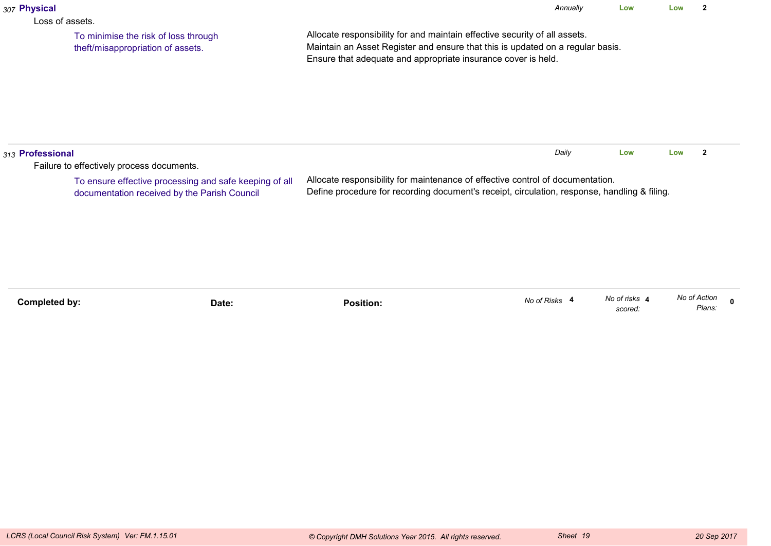| 307 Physical                                                                                                                                        |                                                                           | Annually<br>Low<br>Low                                                                                                                                                                                                        |               |                          |              |              |              |  |
|-----------------------------------------------------------------------------------------------------------------------------------------------------|---------------------------------------------------------------------------|-------------------------------------------------------------------------------------------------------------------------------------------------------------------------------------------------------------------------------|---------------|--------------------------|--------------|--------------|--------------|--|
| Loss of assets.                                                                                                                                     | To minimise the risk of loss through<br>theft/misappropriation of assets. | Allocate responsibility for and maintain effective security of all assets.<br>Maintain an Asset Register and ensure that this is updated on a regular basis.<br>Ensure that adequate and appropriate insurance cover is held. |               |                          |              |              |              |  |
| 313 Professional                                                                                                                                    |                                                                           |                                                                                                                                                                                                                               | Daily         | Low                      | Low          | $\mathbf{2}$ |              |  |
| Failure to effectively process documents.<br>To ensure effective processing and safe keeping of all<br>documentation received by the Parish Council |                                                                           | Allocate responsibility for maintenance of effective control of documentation.<br>Define procedure for recording document's receipt, circulation, response, handling & filing.                                                |               |                          |              |              |              |  |
| <b>Completed by:</b>                                                                                                                                | Date:                                                                     | <b>Position:</b>                                                                                                                                                                                                              | No of Risks 4 | No of risks 4<br>scored: | No of Action | Plans:       | $\mathbf{0}$ |  |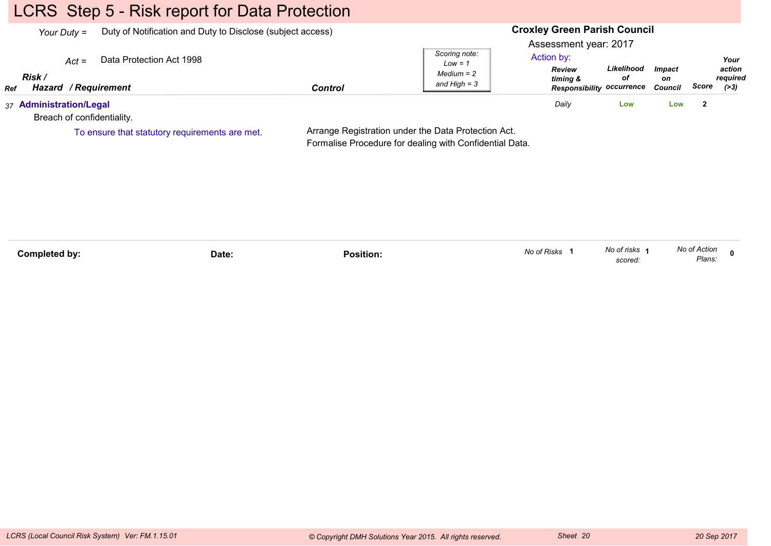# LCRS Step 5 - Risk report for Data Protection

| Your Duty $=$                                         |                          | Duty of Notification and Duty to Disclose (subject access) |                                                              | <b>Croxley Green Parish Council</b>                              |                                                      |                                |       |                                      |
|-------------------------------------------------------|--------------------------|------------------------------------------------------------|--------------------------------------------------------------|------------------------------------------------------------------|------------------------------------------------------|--------------------------------|-------|--------------------------------------|
| $Act =$<br>Risk<br>Hazard / Requirement<br>Ref        | Data Protection Act 1998 | <b>Control</b>                                             | Scoring note:<br>$Low = 1$<br>$Median = 2$<br>and High $=$ 3 | Assessment year: 2017<br>Action by:<br><b>Review</b><br>timing & | Likelihood<br>οf<br><b>Responsibility occurrence</b> | <b>Impact</b><br>on<br>Council | Score | Your<br>action<br>reauired<br>( > 3) |
| 37 Administration/Legal<br>Breach of confidentiality. |                          |                                                            |                                                              | Daily                                                            | Low                                                  | Low                            |       |                                      |

To ensure that statutory requirements are met.

Arrange Registration under the Data Protection Act.Formalise Procedure for dealing with Confidential Data.

| Completed by: | Date: | Position: | No of Risks | No of risks<br>scored: | No of Action<br>Plans: |  |
|---------------|-------|-----------|-------------|------------------------|------------------------|--|
|---------------|-------|-----------|-------------|------------------------|------------------------|--|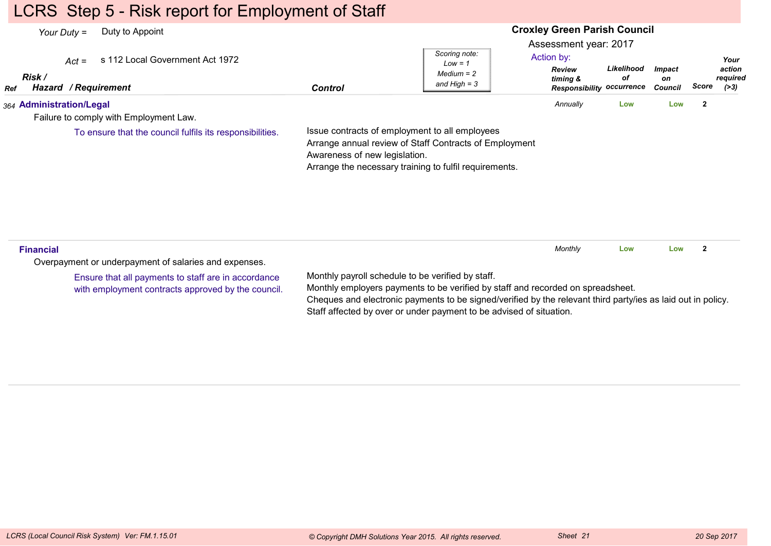## LCRS Step 5 - Risk report for Employment of Staff

#### **Croxley Green Parish Council**Assessment year: 2017*Your Duty =* Duty to Appoint *Act =* s 112 Local Government Act 1972 *RefRisk / Hazard Control / RequirementReview timing & ResponsibilityoccurrenceLikelihoodofImpacton Council ScoreScoring note:Low = 1 Medium = 2 and High = 3Your action required(>3)*Action by:*364* **Administration/Legal** Failure to comply with Employment Law.Issue contracts of employment to all employees Arrange annual review of Staff Contracts of Employment Awareness of new legislation. Arrange the necessary training to fulfil requirements. *Annually* **Low Low <sup>2</sup>** To ensure that the council fulfils its responsibilities.**Financial**Overpayment or underpayment of salaries and expenses.Monthly payroll schedule to be verified by staff.Monthly employers payments to be verified by staff and recorded on spreadsheet.Cheques and electronic payments to be signed/verified by the relevant third party/ies as laid out in policy.Staff affected by over or under payment to be advised of situation.*Monthly* **Low Low <sup>2</sup>** Ensure that all payments to staff are in accordancewith employment contracts approved by the council.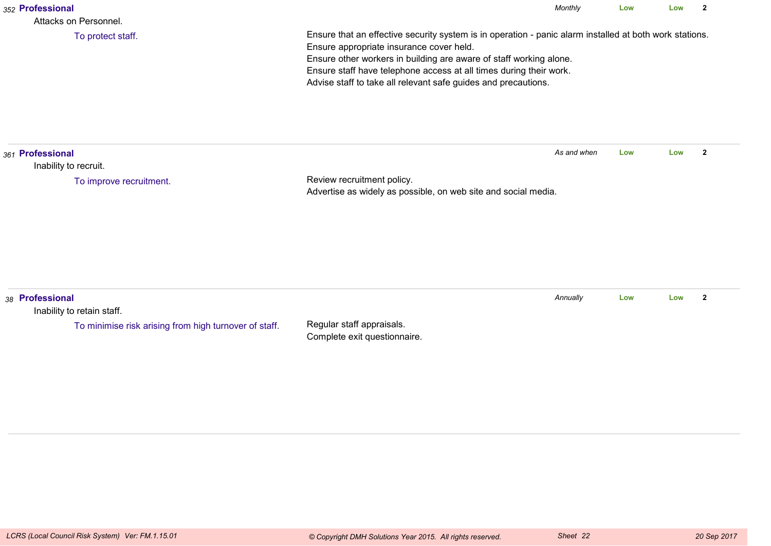| 352 Professional<br>Attacks on Personnel.                                                              |                                                                                                                                                                                                                                                                                                                                                                   | Monthly     | Low | Low | $\mathbf{2}$   |
|--------------------------------------------------------------------------------------------------------|-------------------------------------------------------------------------------------------------------------------------------------------------------------------------------------------------------------------------------------------------------------------------------------------------------------------------------------------------------------------|-------------|-----|-----|----------------|
| To protect staff.                                                                                      | Ensure that an effective security system is in operation - panic alarm installed at both work stations.<br>Ensure appropriate insurance cover held.<br>Ensure other workers in building are aware of staff working alone.<br>Ensure staff have telephone access at all times during their work.<br>Advise staff to take all relevant safe guides and precautions. |             |     |     |                |
| 361 Professional<br>Inability to recruit.                                                              |                                                                                                                                                                                                                                                                                                                                                                   | As and when | Low | Low | $\overline{2}$ |
| To improve recruitment.                                                                                | Review recruitment policy.<br>Advertise as widely as possible, on web site and social media.                                                                                                                                                                                                                                                                      |             |     |     |                |
| 38 Professional<br>Inability to retain staff.<br>To minimise risk arising from high turnover of staff. | Regular staff appraisals.<br>Complete exit questionnaire.                                                                                                                                                                                                                                                                                                         | Annually    | Low | Low | $\mathbf{2}$   |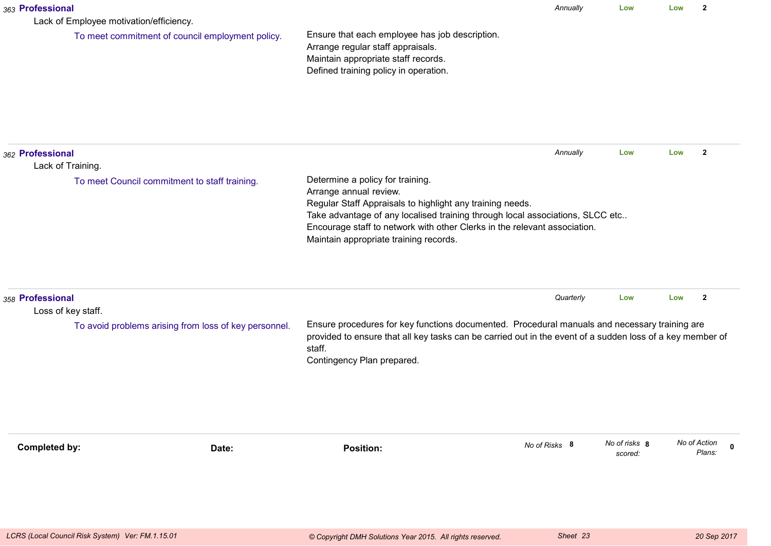| 363 Professional | Lack of Employee motivation/efficiency.               |                                                                                                                                                                                                                                                                                                                                 | Annually      | Low                      | Low | $\overline{2}$                        |
|------------------|-------------------------------------------------------|---------------------------------------------------------------------------------------------------------------------------------------------------------------------------------------------------------------------------------------------------------------------------------------------------------------------------------|---------------|--------------------------|-----|---------------------------------------|
|                  | To meet commitment of council employment policy.      | Ensure that each employee has job description.<br>Arrange regular staff appraisals.<br>Maintain appropriate staff records.<br>Defined training policy in operation.                                                                                                                                                             |               |                          |     |                                       |
| 362 Professional | Lack of Training.                                     |                                                                                                                                                                                                                                                                                                                                 | Annually      | Low                      | Low | $\mathbf{2}$                          |
|                  | To meet Council commitment to staff training.         | Determine a policy for training.<br>Arrange annual review.<br>Regular Staff Appraisals to highlight any training needs.<br>Take advantage of any localised training through local associations, SLCC etc<br>Encourage staff to network with other Clerks in the relevant association.<br>Maintain appropriate training records. |               |                          |     |                                       |
| 358 Professional | Loss of key staff.                                    |                                                                                                                                                                                                                                                                                                                                 | Quarterly     | Low                      | Low | $\overline{2}$                        |
|                  | To avoid problems arising from loss of key personnel. | Ensure procedures for key functions documented. Procedural manuals and necessary training are<br>provided to ensure that all key tasks can be carried out in the event of a sudden loss of a key member of<br>staff.<br>Contingency Plan prepared.                                                                              |               |                          |     |                                       |
| Completed by:    | Date:                                                 | <b>Position:</b>                                                                                                                                                                                                                                                                                                                | No of Risks 8 | No of risks 8<br>scored: |     | No of Action<br>$\mathbf 0$<br>Plans: |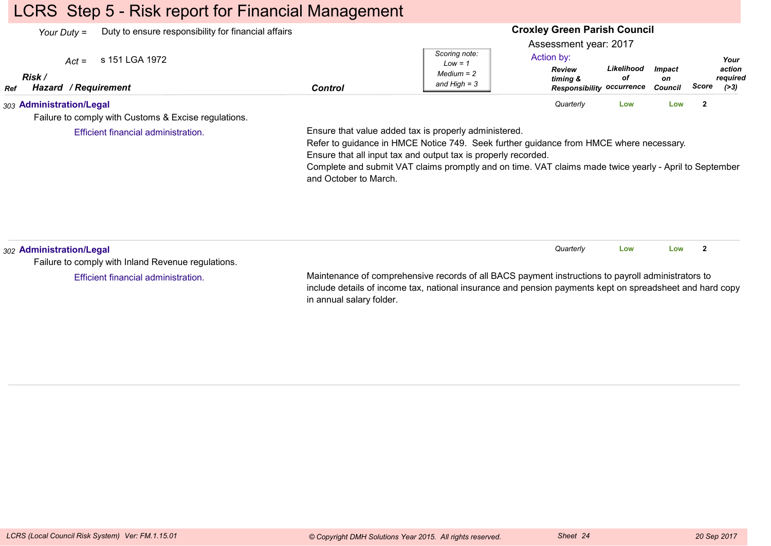## LCRS Step 5 - Risk report for Financial Management

| Your Duty =                                             | Duty to ensure responsibility for financial affairs  |                |                                                              |                                                                                                      | <b>Croxley Green Parish Council</b> |                                       |       |                                      |
|---------------------------------------------------------|------------------------------------------------------|----------------|--------------------------------------------------------------|------------------------------------------------------------------------------------------------------|-------------------------------------|---------------------------------------|-------|--------------------------------------|
| $Act =$<br>Risk /<br><b>Hazard / Requirement</b><br>Ref | s 151 LGA 1972                                       | <b>Control</b> | Scoring note:<br>$Low = 1$<br>$Median = 2$<br>and High $=$ 3 | Assessment year: 2017<br>Action by:<br><b>Review</b><br>timing &<br><b>Responsibility occurrence</b> | Likelihood<br>οf                    | <i><b>Impact</b></i><br>on<br>Council | Score | Your<br>action<br>required<br>( > 3) |
| 303 Administration/Legal                                | Failure to comply with Customs & Excise regulations. |                |                                                              | Quarterly                                                                                            | Low                                 | Low                                   | -2    |                                      |

Efficient financial administration.

Ensure that value added tax is properly administered.

Refer to guidance in HMCE Notice 749. Seek further guidance from HMCE where necessary.Ensure that all input tax and output tax is properly recorded.

 Complete and submit VAT claims promptly and on time. VAT claims made twice yearly - April to Septemberand October to March.

| 302 Administration/Legal                           |                                                                                                          | Quarterly | Low | Low |  |
|----------------------------------------------------|----------------------------------------------------------------------------------------------------------|-----------|-----|-----|--|
| Failure to comply with Inland Revenue regulations. |                                                                                                          |           |     |     |  |
| Efficient financial administration.                | Maintenance of comprehensive records of all BACS payment instructions to payroll administrators to       |           |     |     |  |
|                                                    | include details of income tax, national insurance and pension payments kept on spreadsheet and hard copy |           |     |     |  |

in annual salary folder.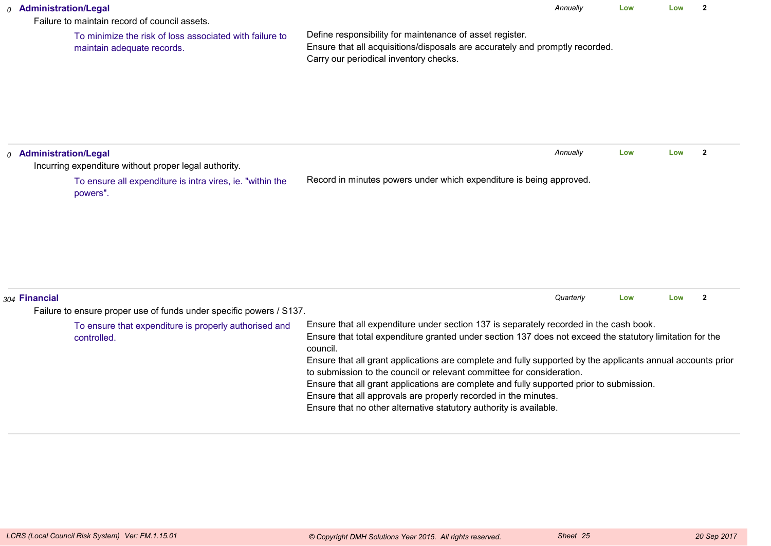| 0 Administration/Legal            | Failure to maintain record of council assets.                                                                                               | Annually                                                                                                                                                                                                                                                                                                                                                                                                                                                                                                                                                                                                                                    | Low | Low | $\overline{2}$ |
|-----------------------------------|---------------------------------------------------------------------------------------------------------------------------------------------|---------------------------------------------------------------------------------------------------------------------------------------------------------------------------------------------------------------------------------------------------------------------------------------------------------------------------------------------------------------------------------------------------------------------------------------------------------------------------------------------------------------------------------------------------------------------------------------------------------------------------------------------|-----|-----|----------------|
|                                   | To minimize the risk of loss associated with failure to<br>maintain adequate records.                                                       | Define responsibility for maintenance of asset register.<br>Ensure that all acquisitions/disposals are accurately and promptly recorded.<br>Carry our periodical inventory checks.                                                                                                                                                                                                                                                                                                                                                                                                                                                          |     |     |                |
| <sub>0</sub> Administration/Legal | Incurring expenditure without proper legal authority.                                                                                       | Annually                                                                                                                                                                                                                                                                                                                                                                                                                                                                                                                                                                                                                                    | Low | Low | $\overline{2}$ |
|                                   | To ensure all expenditure is intra vires, ie. "within the<br>powers".                                                                       | Record in minutes powers under which expenditure is being approved.                                                                                                                                                                                                                                                                                                                                                                                                                                                                                                                                                                         |     |     |                |
| 304 Financial                     |                                                                                                                                             | Quarterly                                                                                                                                                                                                                                                                                                                                                                                                                                                                                                                                                                                                                                   | Low | Low | $\overline{2}$ |
|                                   | Failure to ensure proper use of funds under specific powers / S137.<br>To ensure that expenditure is properly authorised and<br>controlled. | Ensure that all expenditure under section 137 is separately recorded in the cash book.<br>Ensure that total expenditure granted under section 137 does not exceed the statutory limitation for the<br>council.<br>Ensure that all grant applications are complete and fully supported by the applicants annual accounts prior<br>to submission to the council or relevant committee for consideration.<br>Ensure that all grant applications are complete and fully supported prior to submission.<br>Ensure that all approvals are properly recorded in the minutes.<br>Ensure that no other alternative statutory authority is available. |     |     |                |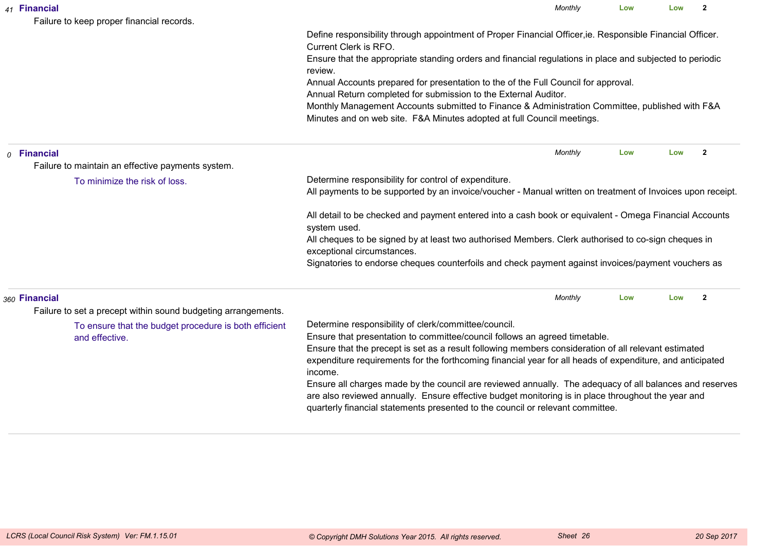|  | 41 Financial<br>Failure to keep proper financial records.               | Monthly                                                                                                                                                                                                                                                                                                                                                            | Low | Low | $\mathbf{2}$   |  |  |  |
|--|-------------------------------------------------------------------------|--------------------------------------------------------------------------------------------------------------------------------------------------------------------------------------------------------------------------------------------------------------------------------------------------------------------------------------------------------------------|-----|-----|----------------|--|--|--|
|  |                                                                         | Define responsibility through appointment of Proper Financial Officer, ie. Responsible Financial Officer.<br>Current Clerk is RFO.                                                                                                                                                                                                                                 |     |     |                |  |  |  |
|  |                                                                         | Ensure that the appropriate standing orders and financial regulations in place and subjected to periodic<br>review.                                                                                                                                                                                                                                                |     |     |                |  |  |  |
|  |                                                                         | Annual Accounts prepared for presentation to the of the Full Council for approval.<br>Annual Return completed for submission to the External Auditor.                                                                                                                                                                                                              |     |     |                |  |  |  |
|  |                                                                         | Monthly Management Accounts submitted to Finance & Administration Committee, published with F&A<br>Minutes and on web site. F&A Minutes adopted at full Council meetings.                                                                                                                                                                                          |     |     |                |  |  |  |
|  | $o$ Financial                                                           | Monthly                                                                                                                                                                                                                                                                                                                                                            | Low | Low | $\overline{2}$ |  |  |  |
|  | Failure to maintain an effective payments system.                       |                                                                                                                                                                                                                                                                                                                                                                    |     |     |                |  |  |  |
|  | To minimize the risk of loss.                                           | Determine responsibility for control of expenditure.<br>All payments to be supported by an invoice/voucher - Manual written on treatment of Invoices upon receipt.                                                                                                                                                                                                 |     |     |                |  |  |  |
|  |                                                                         | All detail to be checked and payment entered into a cash book or equivalent - Omega Financial Accounts<br>system used.                                                                                                                                                                                                                                             |     |     |                |  |  |  |
|  |                                                                         | All cheques to be signed by at least two authorised Members. Clerk authorised to co-sign cheques in<br>exceptional circumstances.                                                                                                                                                                                                                                  |     |     |                |  |  |  |
|  |                                                                         | Signatories to endorse cheques counterfoils and check payment against invoices/payment vouchers as                                                                                                                                                                                                                                                                 |     |     |                |  |  |  |
|  | 360 Financial                                                           | Monthly                                                                                                                                                                                                                                                                                                                                                            | Low | Low | $\overline{2}$ |  |  |  |
|  | Failure to set a precept within sound budgeting arrangements.           |                                                                                                                                                                                                                                                                                                                                                                    |     |     |                |  |  |  |
|  | To ensure that the budget procedure is both efficient<br>and effective. | Determine responsibility of clerk/committee/council.<br>Ensure that presentation to committee/council follows an agreed timetable.<br>Ensure that the precept is set as a result following members consideration of all relevant estimated<br>expenditure requirements for the forthcoming financial year for all heads of expenditure, and anticipated<br>income. |     |     |                |  |  |  |
|  |                                                                         | Ensure all charges made by the council are reviewed annually. The adequacy of all balances and reserves<br>are also reviewed annually. Ensure effective budget monitoring is in place throughout the year and<br>quarterly financial statements presented to the council or relevant committee.                                                                    |     |     |                |  |  |  |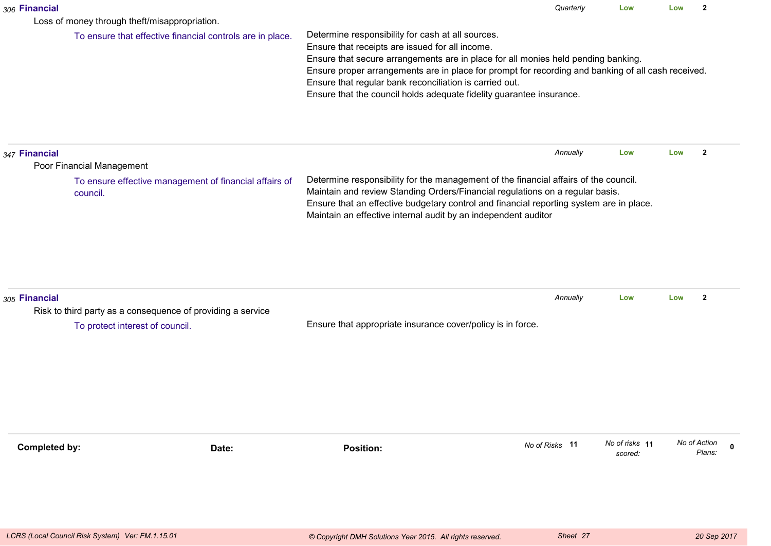| 306 Financial                                                                |       |                                                                                                                                                                                                                                                                                                                                                                                                                                    | Quarterly      | Low                       | Low | $\overline{2}$         |
|------------------------------------------------------------------------------|-------|------------------------------------------------------------------------------------------------------------------------------------------------------------------------------------------------------------------------------------------------------------------------------------------------------------------------------------------------------------------------------------------------------------------------------------|----------------|---------------------------|-----|------------------------|
| Loss of money through theft/misappropriation.                                |       |                                                                                                                                                                                                                                                                                                                                                                                                                                    |                |                           |     |                        |
| To ensure that effective financial controls are in place.                    |       | Determine responsibility for cash at all sources.<br>Ensure that receipts are issued for all income.<br>Ensure that secure arrangements are in place for all monies held pending banking.<br>Ensure proper arrangements are in place for prompt for recording and banking of all cash received.<br>Ensure that regular bank reconciliation is carried out.<br>Ensure that the council holds adequate fidelity guarantee insurance. |                |                           |     |                        |
| 347 Financial<br>Poor Financial Management                                   |       |                                                                                                                                                                                                                                                                                                                                                                                                                                    | Annually       | Low                       | Low | $\mathbf{2}$           |
| To ensure effective management of financial affairs of<br>council.           |       | Determine responsibility for the management of the financial affairs of the council.<br>Maintain and review Standing Orders/Financial regulations on a regular basis.<br>Ensure that an effective budgetary control and financial reporting system are in place.<br>Maintain an effective internal audit by an independent auditor                                                                                                 |                |                           |     |                        |
| 305 Financial<br>Risk to third party as a consequence of providing a service |       |                                                                                                                                                                                                                                                                                                                                                                                                                                    | Annually       | Low                       | Low | $\mathbf{2}$           |
| To protect interest of council.                                              |       | Ensure that appropriate insurance cover/policy is in force.                                                                                                                                                                                                                                                                                                                                                                        |                |                           |     |                        |
| <b>Completed by:</b>                                                         | Date: | <b>Position:</b>                                                                                                                                                                                                                                                                                                                                                                                                                   | No of Risks 11 | No of risks 11<br>scored: |     | No of Action<br>Plans: |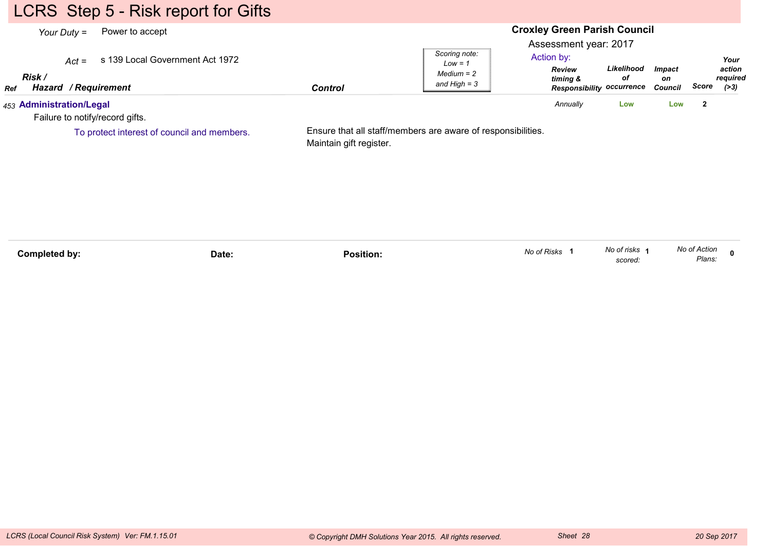# LCRS Step 5 - Risk report for Gifts

| Your Duty $=$                                                  | Power to accept                             |                         |                                                              | <b>Croxley Green Parish Council</b>                                                                  |                  |                                |              |                                      |
|----------------------------------------------------------------|---------------------------------------------|-------------------------|--------------------------------------------------------------|------------------------------------------------------------------------------------------------------|------------------|--------------------------------|--------------|--------------------------------------|
| $Act =$<br>Risk /<br><b>Hazard / Requirement</b><br><b>Ref</b> | s 139 Local Government Act 1972             | <b>Control</b>          | Scoring note:<br>$Low = 1$<br>$Median = 2$<br>and High $=$ 3 | Assessment year: 2017<br>Action by:<br><b>Review</b><br>timing &<br><b>Responsibility occurrence</b> | Likelihood<br>οf | <b>Impact</b><br>on<br>Council | Score        | Your<br>action<br>required<br>( > 3) |
| 453 Administration/Legal<br>Failure to notify/record gifts.    |                                             |                         |                                                              | Annually                                                                                             | Low              | Low                            | $\mathbf{2}$ |                                      |
|                                                                | To protect interest of council and members. | Maintain gift register. | Ensure that all staff/members are aware of responsibilities. |                                                                                                      |                  |                                |              |                                      |

| Completed by: | Date: | Position. | No of Risks | No of risks<br>scored. | No of Action<br>Plans: |  |
|---------------|-------|-----------|-------------|------------------------|------------------------|--|
|               |       |           |             |                        |                        |  |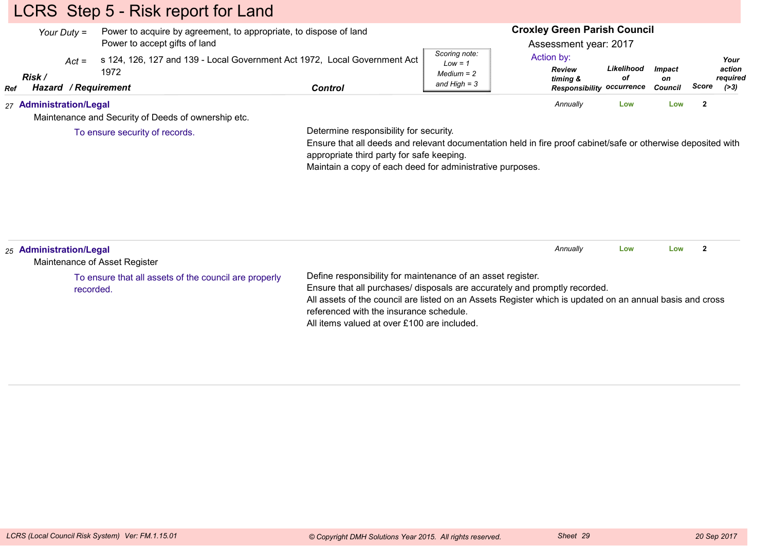# LCRS Step 5 - Risk report for Land

|     | Your Duty $=$               |                       | Power to acquire by agreement, to appropriate, to dispose of land<br>Power to accept gifts of land |         |                                                              | <b>Croxley Green Parish Council</b><br>Assessment year: 2017                |                  |                         |       |                                      |
|-----|-----------------------------|-----------------------|----------------------------------------------------------------------------------------------------|---------|--------------------------------------------------------------|-----------------------------------------------------------------------------|------------------|-------------------------|-------|--------------------------------------|
| Ref | $Act =$<br>Risk /<br>Hazard | 1972<br>/ Requirement | s 124, 126, 127 and 139 - Local Government Act 1972, Local Government Act                          | Control | Scoring note:<br>$Low = 1$<br>$Median = 2$<br>and High $=$ 3 | Action by:<br><b>Review</b><br>timing &<br><b>Responsibility occurrence</b> | Likelihood<br>οf | Impact<br>on<br>Council | Score | Your<br>action<br>required<br>( > 3) |
|     | 27 Administration/Legal     |                       | Maintenance and Security of Deeds of ownership etc.                                                |         |                                                              | Annually                                                                    | Low              | Low                     |       |                                      |

To ensure security of records.

Determine responsibility for security.

 Ensure that all deeds and relevant documentation held in fire proof cabinet/safe or otherwise deposited withappropriate third party for safe keeping.

Maintain a copy of each deed for administrative purposes.

| 25 Administration/Legal<br>Maintenance of Asset Register           | Annually<br>Low<br>Low                                                                                                                                                                                                                                                                                                                          |
|--------------------------------------------------------------------|-------------------------------------------------------------------------------------------------------------------------------------------------------------------------------------------------------------------------------------------------------------------------------------------------------------------------------------------------|
| To ensure that all assets of the council are properly<br>recorded. | Define responsibility for maintenance of an asset register.<br>Ensure that all purchases/ disposals are accurately and promptly recorded.<br>All assets of the council are listed on an Assets Register which is updated on an annual basis and cross<br>referenced with the insurance schedule.<br>All items valued at over £100 are included. |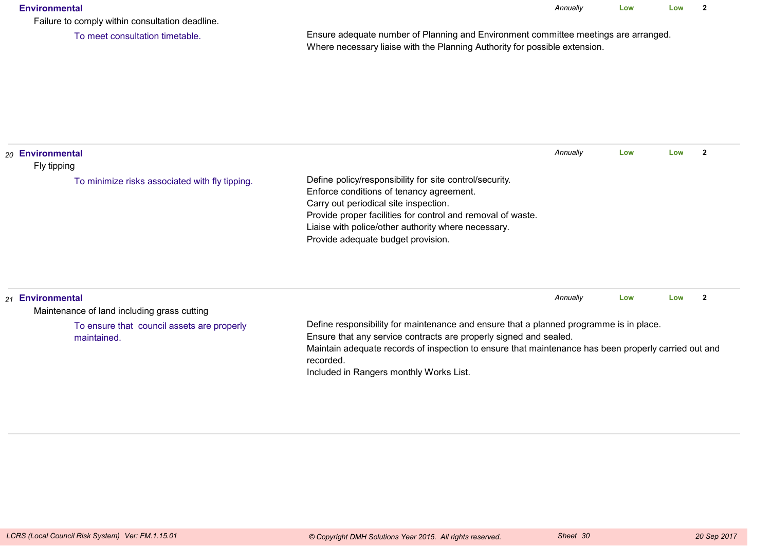#### **Environmental**

*Annually* **LowLow <sup>2</sup>**

Failure to comply within consultation deadline.

To meet consultation timetable.

Ensure adequate number of Planning and Environment committee meetings are arranged.Where necessary liaise with the Planning Authority for possible extension.

| 20 Environmental<br>Fly tipping                                 |                                                                                                                                                                                                                                                                                                          | Annually | Low | Low |  |
|-----------------------------------------------------------------|----------------------------------------------------------------------------------------------------------------------------------------------------------------------------------------------------------------------------------------------------------------------------------------------------------|----------|-----|-----|--|
| To minimize risks associated with fly tipping.                  | Define policy/responsibility for site control/security.<br>Enforce conditions of tenancy agreement.<br>Carry out periodical site inspection.<br>Provide proper facilities for control and removal of waste.<br>Liaise with police/other authority where necessary.<br>Provide adequate budget provision. |          |     |     |  |
| 21 Environmental<br>Maintenance of land including grass cutting |                                                                                                                                                                                                                                                                                                          | Annually | Low | Low |  |

To ensure that council assets are properlymaintained.

Define responsibility for maintenance and ensure that a planned programme is in place.

Ensure that any service contracts are properly signed and sealed.

 Maintain adequate records of inspection to ensure that maintenance has been properly carried out andrecorded.

Included in Rangers monthly Works List.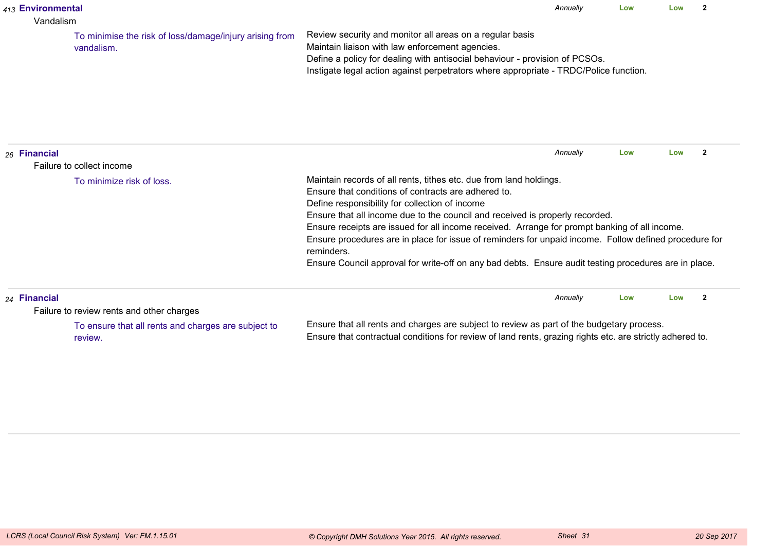|                                                                                                                                                                                                                                                                          | 413 Environmental<br>Vandalism |                                                         |                                                                                                                                                                                                                                                                                                                                                                                                                                                                                                                                                                                              | Annually | Low | Low | $\mathbf{z}$   |
|--------------------------------------------------------------------------------------------------------------------------------------------------------------------------------------------------------------------------------------------------------------------------|--------------------------------|---------------------------------------------------------|----------------------------------------------------------------------------------------------------------------------------------------------------------------------------------------------------------------------------------------------------------------------------------------------------------------------------------------------------------------------------------------------------------------------------------------------------------------------------------------------------------------------------------------------------------------------------------------------|----------|-----|-----|----------------|
| vandalism.                                                                                                                                                                                                                                                               |                                | To minimise the risk of loss/damage/injury arising from | Review security and monitor all areas on a regular basis<br>Maintain liaison with law enforcement agencies.<br>Define a policy for dealing with antisocial behaviour - provision of PCSOs.<br>Instigate legal action against perpetrators where appropriate - TRDC/Police function.                                                                                                                                                                                                                                                                                                          |          |     |     |                |
|                                                                                                                                                                                                                                                                          | 26 Financial                   | Failure to collect income                               |                                                                                                                                                                                                                                                                                                                                                                                                                                                                                                                                                                                              | Annually | Low | Low | $\overline{2}$ |
|                                                                                                                                                                                                                                                                          |                                | To minimize risk of loss.                               | Maintain records of all rents, tithes etc. due from land holdings.<br>Ensure that conditions of contracts are adhered to.<br>Define responsibility for collection of income<br>Ensure that all income due to the council and received is properly recorded.<br>Ensure receipts are issued for all income received. Arrange for prompt banking of all income.<br>Ensure procedures are in place for issue of reminders for unpaid income. Follow defined procedure for<br>reminders.<br>Ensure Council approval for write-off on any bad debts. Ensure audit testing procedures are in place. |          |     |     |                |
|                                                                                                                                                                                                                                                                          | 24 Financial                   | Failure to review rents and other charges               |                                                                                                                                                                                                                                                                                                                                                                                                                                                                                                                                                                                              | Annually | Low | Low | $\overline{2}$ |
| Ensure that all rents and charges are subject to review as part of the budgetary process.<br>To ensure that all rents and charges are subject to<br>Ensure that contractual conditions for review of land rents, grazing rights etc. are strictly adhered to.<br>review. |                                |                                                         |                                                                                                                                                                                                                                                                                                                                                                                                                                                                                                                                                                                              |          |     |     |                |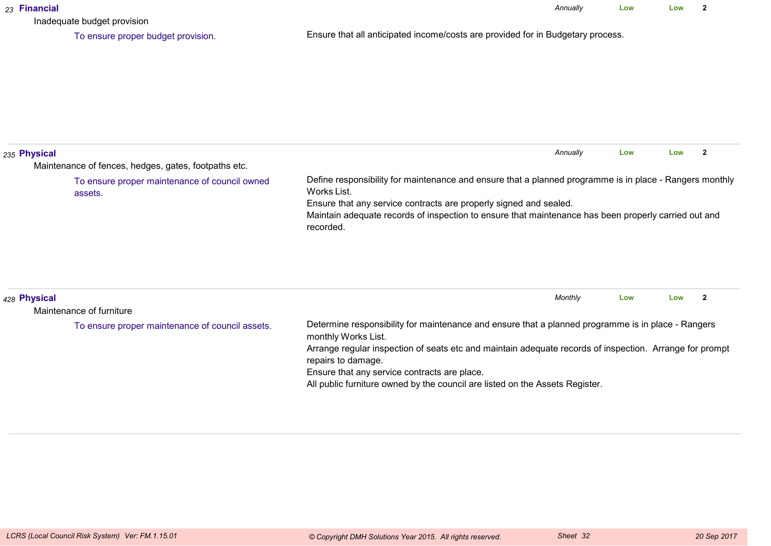| 23 Financial | Inadequate budget provision                              |                                                                                                                                                                                                                                                                                                                                                                                            | Annually | Low | Low | $\overline{2}$ |
|--------------|----------------------------------------------------------|--------------------------------------------------------------------------------------------------------------------------------------------------------------------------------------------------------------------------------------------------------------------------------------------------------------------------------------------------------------------------------------------|----------|-----|-----|----------------|
|              | To ensure proper budget provision.                       | Ensure that all anticipated income/costs are provided for in Budgetary process.                                                                                                                                                                                                                                                                                                            |          |     |     |                |
| 235 Physical | Maintenance of fences, hedges, gates, footpaths etc.     |                                                                                                                                                                                                                                                                                                                                                                                            | Annually | Low | Low | $\overline{2}$ |
|              | To ensure proper maintenance of council owned<br>assets. | Define responsibility for maintenance and ensure that a planned programme is in place - Rangers monthly<br>Works List.<br>Ensure that any service contracts are properly signed and sealed.<br>Maintain adequate records of inspection to ensure that maintenance has been properly carried out and<br>recorded.                                                                           |          |     |     |                |
| 428 Physical | Maintenance of furniture                                 |                                                                                                                                                                                                                                                                                                                                                                                            | Monthly  | Low | Low | $\overline{2}$ |
|              | To ensure proper maintenance of council assets.          | Determine responsibility for maintenance and ensure that a planned programme is in place - Rangers<br>monthly Works List.<br>Arrange regular inspection of seats etc and maintain adequate records of inspection. Arrange for prompt<br>repairs to damage.<br>Ensure that any service contracts are place.<br>All public furniture owned by the council are listed on the Assets Register. |          |     |     |                |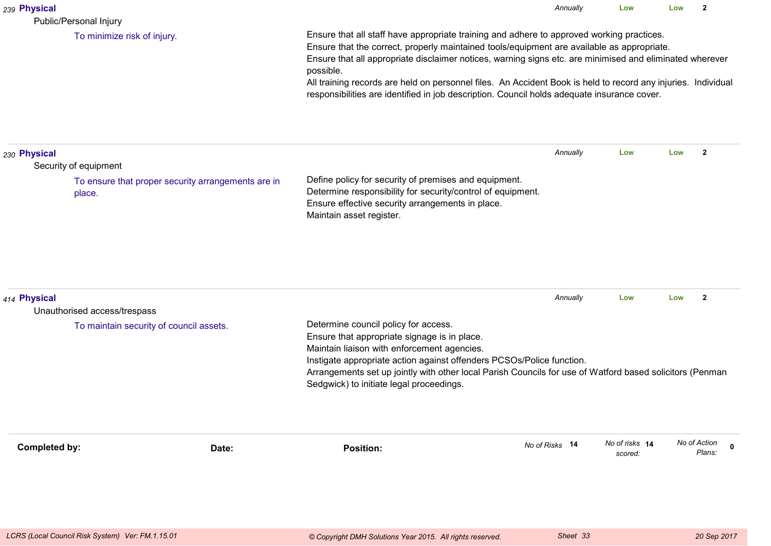| 239 Physical<br>Public/Personal Injury                                                                |                                                                                                                                                                                                                                                                                                                                                                                                                                                                                                                                  | Annually       | Low                       | Low | $\mathbf{2}$           |             |  |  |
|-------------------------------------------------------------------------------------------------------|----------------------------------------------------------------------------------------------------------------------------------------------------------------------------------------------------------------------------------------------------------------------------------------------------------------------------------------------------------------------------------------------------------------------------------------------------------------------------------------------------------------------------------|----------------|---------------------------|-----|------------------------|-------------|--|--|
| To minimize risk of injury.                                                                           | Ensure that all staff have appropriate training and adhere to approved working practices.<br>Ensure that the correct, properly maintained tools/equipment are available as appropriate.<br>Ensure that all appropriate disclaimer notices, warning signs etc. are minimised and eliminated wherever<br>possible.<br>All training records are held on personnel files. An Accident Book is held to record any injuries. Individual<br>responsibilities are identified in job description. Council holds adequate insurance cover. |                |                           |     |                        |             |  |  |
| 230 Physical<br>Security of equipment<br>To ensure that proper security arrangements are in<br>place. | Define policy for security of premises and equipment.<br>Determine responsibility for security/control of equipment.<br>Ensure effective security arrangements in place.<br>Maintain asset register.                                                                                                                                                                                                                                                                                                                             | Annually       | Low                       | Low | $\overline{2}$         |             |  |  |
| 414 Physical<br>Unauthorised access/trespass<br>To maintain security of council assets.               | Determine council policy for access.<br>Ensure that appropriate signage is in place.<br>Maintain liaison with enforcement agencies.<br>Instigate appropriate action against offenders PCSOs/Police function.<br>Arrangements set up jointly with other local Parish Councils for use of Watford based solicitors (Penman<br>Sedgwick) to initiate legal proceedings.                                                                                                                                                             | Annually       | Low                       | Low | $\mathbf{2}$           |             |  |  |
| <b>Completed by:</b><br>Date:                                                                         | <b>Position:</b>                                                                                                                                                                                                                                                                                                                                                                                                                                                                                                                 | No of Risks 14 | No of risks 14<br>scored: |     | No of Action<br>Plans: | $\mathbf 0$ |  |  |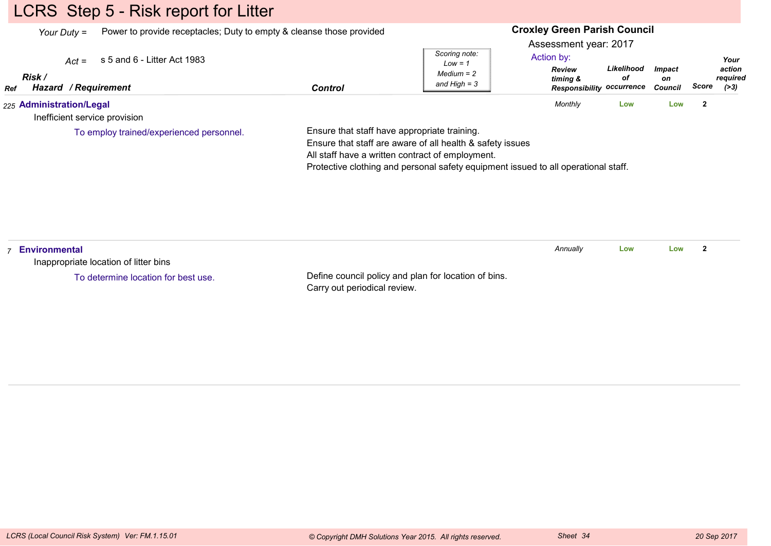## LCRS Step 5 - Risk report for Litter

*Your Duty =*Power to provide receptacles; Duty to empty & cleanse those provided

#### **Croxley Green Parish Council**

Assessment year: 2017

| Ref<br>225 Administration/Legal        | Control |                                                     | Monthly                                                       | LOW              | Low                            |       |                              |  |
|----------------------------------------|---------|-----------------------------------------------------|---------------------------------------------------------------|------------------|--------------------------------|-------|------------------------------|--|
| <b>Risk</b><br>/ Reauirement<br>Hazard |         | Low = $\tilde{a}$<br>$Median = 2$<br>and High $=$ 3 | <b>Review</b><br>timing &<br><b>Responsibility occurrence</b> | Likelihood<br>οf | <b>Impact</b><br>on<br>Council | Score | action<br>reauired<br>( > 3) |  |
| $Act =$ s 5 and 6 - Litter Act 1983    |         | Scoring note:                                       | Action by:                                                    |                  |                                |       | Your                         |  |

Inefficient service provision

To employ trained/experienced personnel.

Ensure that staff have appropriate training.

Ensure that staff are aware of all health & safety issues

All staff have a written contract of employment.

Protective clothing and personal safety equipment issued to all operational staff.

| Environmental<br>Inappropriate location of litter bins |                                                                                      | Annually | Low | Low |  |
|--------------------------------------------------------|--------------------------------------------------------------------------------------|----------|-----|-----|--|
| To determine location for best use.                    | Define council policy and plan for location of bins.<br>Carry out periodical review. |          |     |     |  |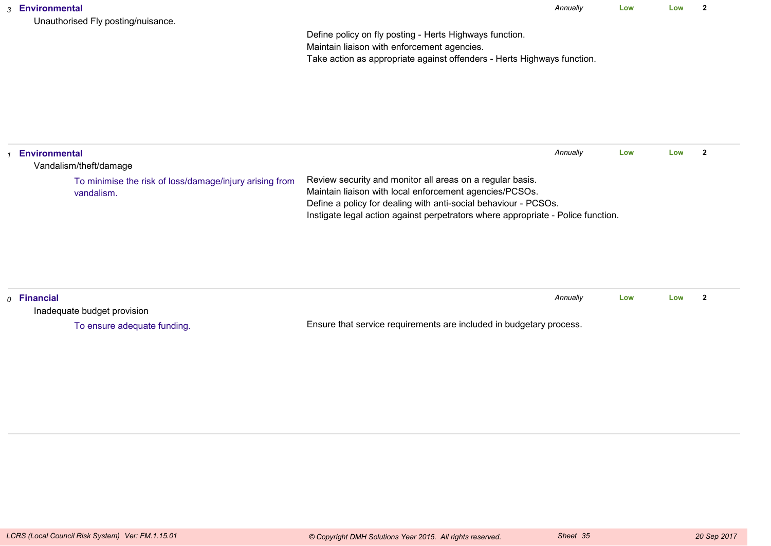*Annually* **LowLow <sup>2</sup>**

Define policy on fly posting - Herts Highways function.Maintain liaison with enforcement agencies.Take action as appropriate against offenders - Herts Highways function.

| <b>Environmental</b><br>Vandalism/theft/damage                        |                                                                                                                                                                                                                                                                             | Annually | Low | Low |  |
|-----------------------------------------------------------------------|-----------------------------------------------------------------------------------------------------------------------------------------------------------------------------------------------------------------------------------------------------------------------------|----------|-----|-----|--|
| To minimise the risk of loss/damage/injury arising from<br>vandalism. | Review security and monitor all areas on a regular basis.<br>Maintain liaison with local enforcement agencies/PCSOs.<br>Define a policy for dealing with anti-social behaviour - PCSOs.<br>Instigate legal action against perpetrators where appropriate - Police function. |          |     |     |  |

| $\rho$ Financial            | Annuallv                                                            |  | Low | Low |  |
|-----------------------------|---------------------------------------------------------------------|--|-----|-----|--|
| Inadequate budget provision |                                                                     |  |     |     |  |
| To ensure adequate funding. | Ensure that service requirements are included in budgetary process. |  |     |     |  |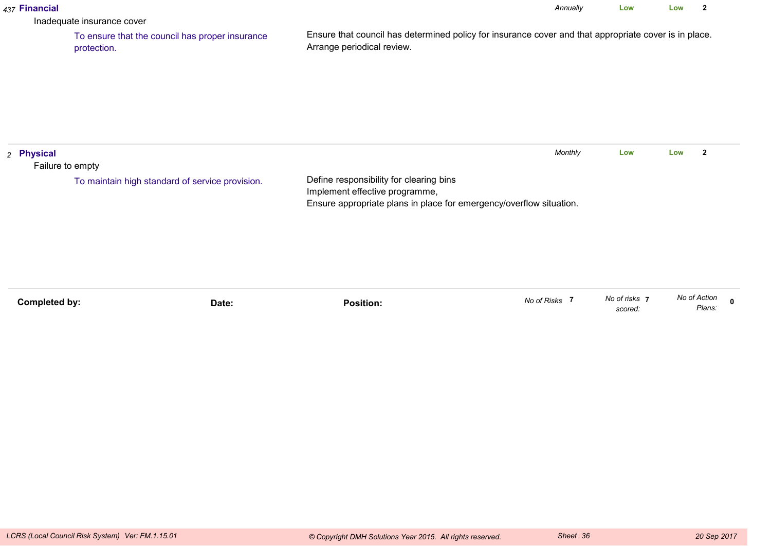|                                | Inadequate insurance cover                                     |                                                                                                                                                  |               |                          |              | $\overline{\mathbf{2}}$ |              |
|--------------------------------|----------------------------------------------------------------|--------------------------------------------------------------------------------------------------------------------------------------------------|---------------|--------------------------|--------------|-------------------------|--------------|
|                                | To ensure that the council has proper insurance<br>protection. | Ensure that council has determined policy for insurance cover and that appropriate cover is in place.<br>Arrange periodical review.              |               |                          |              |                         |              |
| 2 Physical<br>Failure to empty | To maintain high standard of service provision.                | Define responsibility for clearing bins<br>Implement effective programme,<br>Ensure appropriate plans in place for emergency/overflow situation. | Monthly       | Low                      | Low          | $\mathbf{2}$            |              |
| <b>Completed by:</b>           | Date:                                                          | <b>Position:</b>                                                                                                                                 | No of Risks 7 | No of risks 7<br>scored: | No of Action | Plans:                  | $\mathbf{0}$ |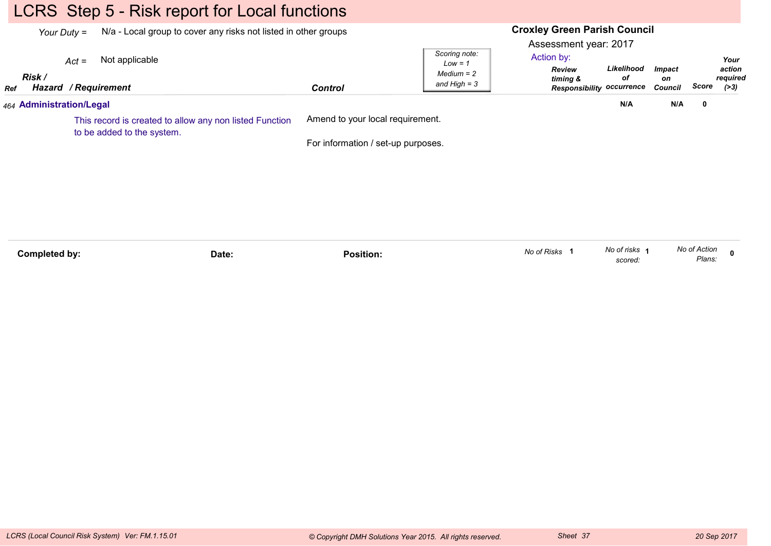# LCRS Step 5 - Risk report for Local functions

|                                                                                       | N/a - Local group to cover any risks not listed in other groups<br>Your Duty $=$ |                                                   |                                    | <b>Croxley Green Parish Council</b><br>Assessment year: 2017 |                                                                                          |                                |       |                                      |
|---------------------------------------------------------------------------------------|----------------------------------------------------------------------------------|---------------------------------------------------|------------------------------------|--------------------------------------------------------------|------------------------------------------------------------------------------------------|--------------------------------|-------|--------------------------------------|
| Ref                                                                                   | Risk /                                                                           | Not applicable<br>$Act =$<br>Hazard / Requirement | <b>Control</b>                     | Scoring note:<br>$Low = 1$<br>$Median = 2$<br>and $High = 3$ | Action by:<br>Likelihood<br>Review<br>оf<br>timing &<br><b>Responsibility occurrence</b> | <b>Impact</b><br>on<br>Council | Score | Your<br>action<br>required<br>( > 3) |
|                                                                                       |                                                                                  | 464 Administration/Legal                          |                                    |                                                              | N/A                                                                                      | N/A                            | 0     |                                      |
| This record is created to allow any non listed Function<br>to be added to the system. |                                                                                  |                                                   | Amend to your local requirement.   |                                                              |                                                                                          |                                |       |                                      |
|                                                                                       |                                                                                  |                                                   | For information / set-up purposes. |                                                              |                                                                                          |                                |       |                                      |
|                                                                                       |                                                                                  |                                                   |                                    |                                                              |                                                                                          |                                |       |                                      |
|                                                                                       |                                                                                  |                                                   |                                    |                                                              |                                                                                          |                                |       |                                      |
|                                                                                       |                                                                                  |                                                   |                                    |                                                              |                                                                                          |                                |       |                                      |
|                                                                                       |                                                                                  |                                                   |                                    |                                                              |                                                                                          |                                |       |                                      |

| Completed by: | Date: | Position. | $\sim$ $\sim$ $\sim$<br>No of Risks | No of risks | No of Action |  |
|---------------|-------|-----------|-------------------------------------|-------------|--------------|--|
|               |       |           |                                     | scored.     | Plans:       |  |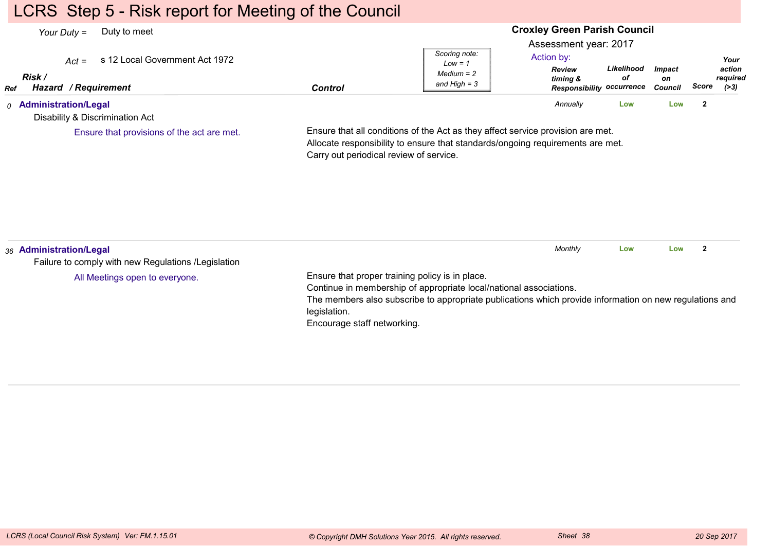## LCRS Step 5 - Risk report for Meeting of the Council

#### **Croxley Green Parish Council**Assessment year: 2017*Your Duty =* Duty to meet *Act =* s 12 Local Government Act 1972 *RefRisk / Hazard Control / RequirementReview timing & Responsibility occurrenceLikelihoodofImpacton Council ScoreScoring note:Low = 1 Medium = 2 and High = 3Your action required(>3)*Action by:*0* **Administration/Legal** Disability & Discrimination ActEnsure that all conditions of the Act as they affect service provision are met.Allocate responsibility to ensure that standards/ongoing requirements are met.Carry out periodical review of service.*Annually* **Low Low <sup>2</sup>** Ensure that provisions of the act are met.*36* **Administration/Legal** Failure to comply with new Regulations /LegislationEnsure that proper training policy is in place.Continue in membership of appropriate local/national associations.The members also subscribe to appropriate publications which provide information on new regulations andlegislation. Encourage staff networking.*Monthly* **Low Low <sup>2</sup>** All Meetings open to everyone.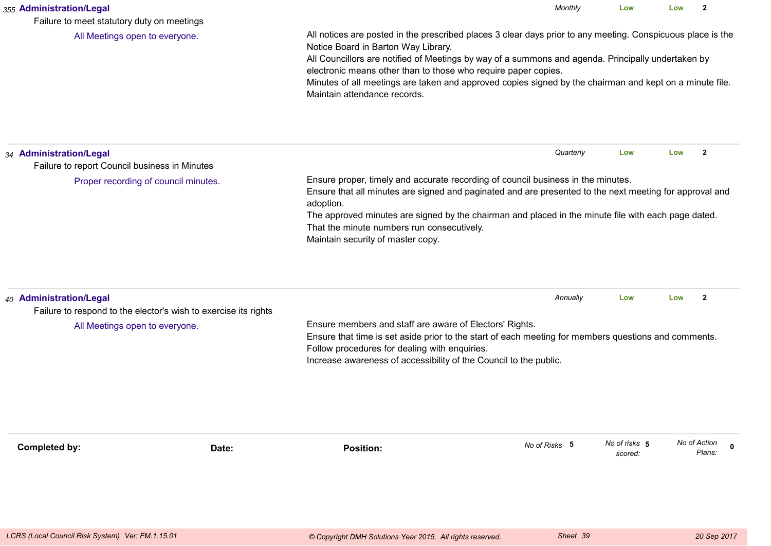| 355 Administration/Legal<br>Failure to meet statutory duty on meetings                                                       |                                                                                                                                                                                                                                                                                                                                                                                                                                                                       | Monthly       | Low                      | Low          | $\mathbf{2}$          |
|------------------------------------------------------------------------------------------------------------------------------|-----------------------------------------------------------------------------------------------------------------------------------------------------------------------------------------------------------------------------------------------------------------------------------------------------------------------------------------------------------------------------------------------------------------------------------------------------------------------|---------------|--------------------------|--------------|-----------------------|
| All Meetings open to everyone.                                                                                               | All notices are posted in the prescribed places 3 clear days prior to any meeting. Conspicuous place is the<br>Notice Board in Barton Way Library.<br>All Councillors are notified of Meetings by way of a summons and agenda. Principally undertaken by<br>electronic means other than to those who require paper copies.<br>Minutes of all meetings are taken and approved copies signed by the chairman and kept on a minute file.<br>Maintain attendance records. |               |                          |              |                       |
| 34 Administration/Legal<br>Failure to report Council business in Minutes                                                     |                                                                                                                                                                                                                                                                                                                                                                                                                                                                       | Quarterly     | Low                      | Low          | $\overline{2}$        |
| Proper recording of council minutes.                                                                                         | Ensure proper, timely and accurate recording of council business in the minutes.<br>Ensure that all minutes are signed and paginated and are presented to the next meeting for approval and<br>adoption.<br>The approved minutes are signed by the chairman and placed in the minute file with each page dated.<br>That the minute numbers run consecutively.<br>Maintain security of master copy.                                                                    |               |                          |              |                       |
| 40 Administration/Legal<br>Failure to respond to the elector's wish to exercise its rights<br>All Meetings open to everyone. | Ensure members and staff are aware of Electors' Rights.<br>Ensure that time is set aside prior to the start of each meeting for members questions and comments.<br>Follow procedures for dealing with enquiries.<br>Increase awareness of accessibility of the Council to the public.                                                                                                                                                                                 | Annually      | Low                      | Low          | $\mathbf{2}$          |
| <b>Completed by:</b>                                                                                                         | <b>Position:</b><br>Date:                                                                                                                                                                                                                                                                                                                                                                                                                                             | No of Risks 5 | No of risks 5<br>scored: | No of Action | $\mathbf 0$<br>Plans: |
|                                                                                                                              |                                                                                                                                                                                                                                                                                                                                                                                                                                                                       |               |                          |              |                       |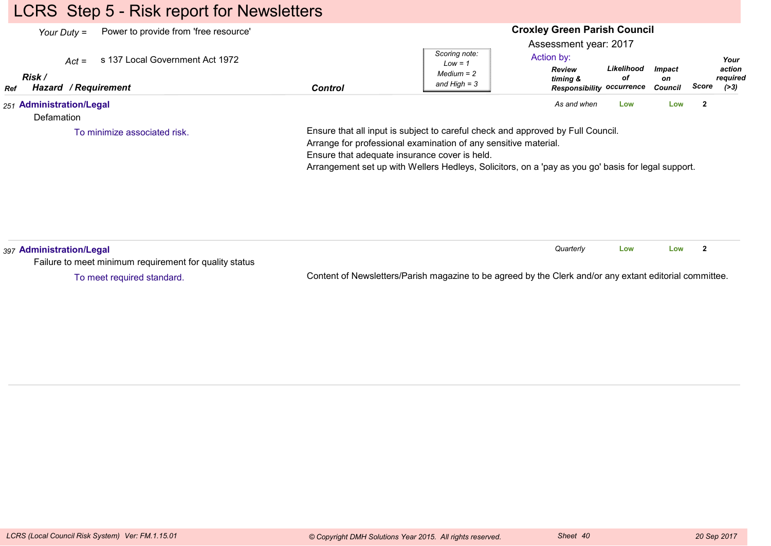# LCRS Step 5 - Risk report for Newsletters

| Power to provide from 'free resource'<br>Your Duty $=$<br>s 137 Local Government Act 1972<br>$Act =$<br>Risk /<br><b>Hazard / Requirement</b><br>Ref | <b>Control</b> | Scoring note:<br>$Low = 1$<br>$Median = 2$<br>and High $=$ 3                                                                                                                                                           | <b>Croxley Green Parish Council</b><br>Assessment year: 2017<br>Action by:<br><b>Review</b><br>timing &<br><b>Responsibility occurrence</b> | Likelihood<br>оf | <b>Impact</b><br>on<br>Council | Your<br>action<br>required<br>Score<br>( > 3) |
|------------------------------------------------------------------------------------------------------------------------------------------------------|----------------|------------------------------------------------------------------------------------------------------------------------------------------------------------------------------------------------------------------------|---------------------------------------------------------------------------------------------------------------------------------------------|------------------|--------------------------------|-----------------------------------------------|
| 251 Administration/Legal<br>Defamation<br>To minimize associated risk.                                                                               |                | Ensure that all input is subject to careful check and approved by Full Council.                                                                                                                                        | As and when                                                                                                                                 | Low              | Low                            | $\overline{2}$                                |
|                                                                                                                                                      |                | Arrange for professional examination of any sensitive material.<br>Ensure that adequate insurance cover is held.<br>Arrangement set up with Wellers Hedleys, Solicitors, on a 'pay as you go' basis for legal support. |                                                                                                                                             |                  |                                |                                               |
| 397 Administration/Legal<br>Failure to meet minimum requirement for quality status                                                                   |                |                                                                                                                                                                                                                        | Quarterly                                                                                                                                   | Low              | Low                            | $\mathbf{2}$                                  |

To meet required standard.

Content of Newsletters/Parish magazine to be agreed by the Clerk and/or any extant editorial committee.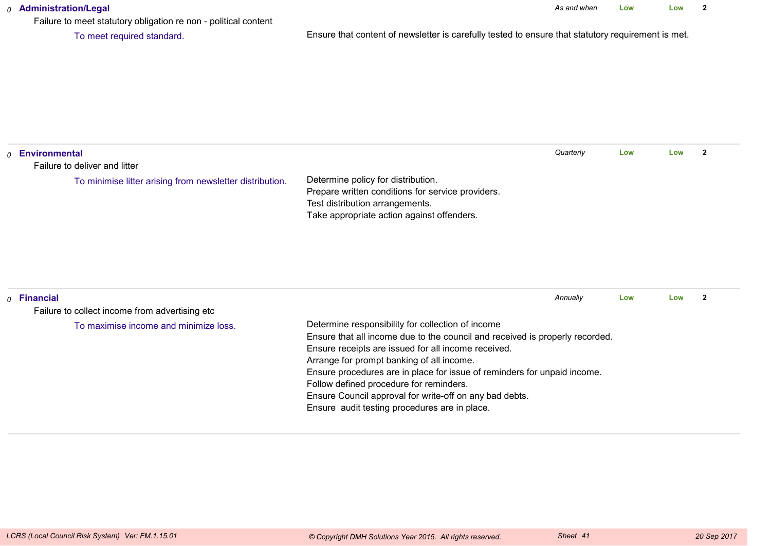#### *0* **Administration/Legal**

Failure to meet statutory obligation re non - political content

To meet required standard.

Ensure that content of newsletter is carefully tested to ensure that statutory requirement is met.

| $_0$ Environmental                                                 |                                                                                                                                                                                                                                                                                                                                                                                                                                                                          | Quarterly | Low | Low | $\overline{2}$ |
|--------------------------------------------------------------------|--------------------------------------------------------------------------------------------------------------------------------------------------------------------------------------------------------------------------------------------------------------------------------------------------------------------------------------------------------------------------------------------------------------------------------------------------------------------------|-----------|-----|-----|----------------|
| Failure to deliver and litter                                      |                                                                                                                                                                                                                                                                                                                                                                                                                                                                          |           |     |     |                |
| To minimise litter arising from newsletter distribution.           | Determine policy for distribution.<br>Prepare written conditions for service providers.<br>Test distribution arrangements.<br>Take appropriate action against offenders.                                                                                                                                                                                                                                                                                                 |           |     |     |                |
| $\rho$ Financial<br>Failure to collect income from advertising etc |                                                                                                                                                                                                                                                                                                                                                                                                                                                                          | Annually  | Low | Low | $\mathbf{2}$   |
| To maximise income and minimize loss.                              | Determine responsibility for collection of income<br>Ensure that all income due to the council and received is properly recorded.<br>Ensure receipts are issued for all income received.<br>Arrange for prompt banking of all income.<br>Ensure procedures are in place for issue of reminders for unpaid income.<br>Follow defined procedure for reminders.<br>Ensure Council approval for write-off on any bad debts.<br>Ensure audit testing procedures are in place. |           |     |     |                |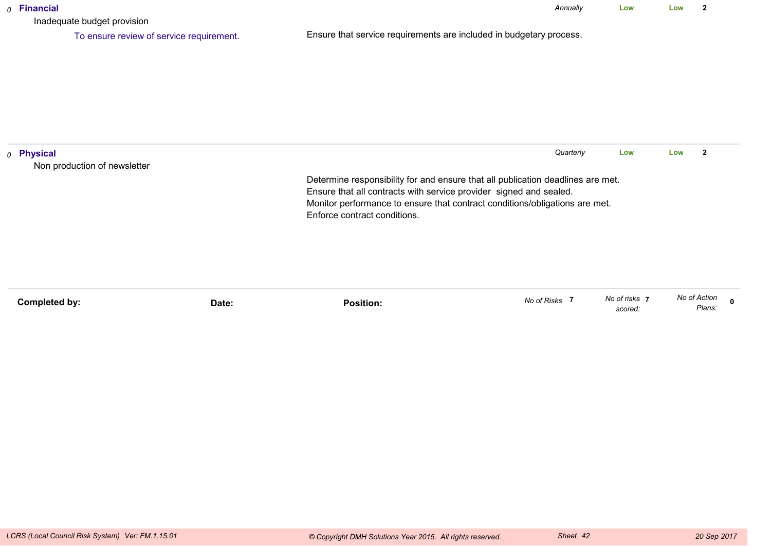| $o$ Financial<br>Inadequate budget provision          |                                                                                                                                                       | Annually  | Low | Low | 2                       |
|-------------------------------------------------------|-------------------------------------------------------------------------------------------------------------------------------------------------------|-----------|-----|-----|-------------------------|
| To ensure review of service requirement.              | Ensure that service requirements are included in budgetary process.                                                                                   |           |     |     |                         |
|                                                       |                                                                                                                                                       |           |     |     |                         |
|                                                       |                                                                                                                                                       |           |     |     |                         |
|                                                       |                                                                                                                                                       |           |     |     |                         |
|                                                       |                                                                                                                                                       |           |     |     |                         |
| <sub>0</sub> Physical<br>Non production of newsletter |                                                                                                                                                       | Quarterly | Low | Low | $\overline{\mathbf{2}}$ |
|                                                       | Determine responsibility for and ensure that all publication deadlines are met.<br>Ensure that all contracts with service provider signed and sealed. |           |     |     |                         |
|                                                       | Monitor performance to ensure that contract conditions/obligations are met.<br>Enforce contract conditions.                                           |           |     |     |                         |
|                                                       |                                                                                                                                                       |           |     |     |                         |
|                                                       |                                                                                                                                                       |           |     |     |                         |
|                                                       |                                                                                                                                                       |           |     |     |                         |

| Completed by: |       | .<br><b>Position:</b> | No of Risks | No of risks | No of Action    |
|---------------|-------|-----------------------|-------------|-------------|-----------------|
|               | Date: |                       |             | scored:     | Diono<br>-ians. |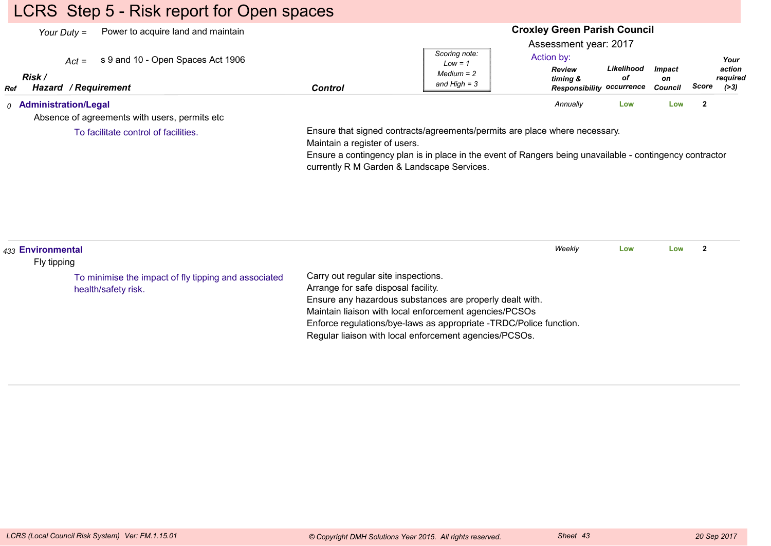# LCRS Step 5 - Risk report for Open spaces

| Power to acquire land and maintain<br>Your Duty $=$<br>s 9 and 10 - Open Spaces Act 1906<br>$Act =$<br>Risk /<br><b>Hazard / Requirement</b><br>Ref | <b>Control</b>                | Scoring note:<br>$Low = 1$<br>$Median = 2$<br>and High $=$ 3                                                                                                                                                                         | <b>Croxley Green Parish Council</b><br>Assessment year: 2017<br>Action by:<br><b>Review</b><br>timing &<br><b>Responsibility occurrence</b> | Likelihood<br>οf | <b>Impact</b><br>on<br>Council | Score                   | Your<br>action<br>required<br>( > 3) |
|-----------------------------------------------------------------------------------------------------------------------------------------------------|-------------------------------|--------------------------------------------------------------------------------------------------------------------------------------------------------------------------------------------------------------------------------------|---------------------------------------------------------------------------------------------------------------------------------------------|------------------|--------------------------------|-------------------------|--------------------------------------|
| <sub>0</sub> Administration/Legal<br>Absence of agreements with users, permits etc                                                                  |                               |                                                                                                                                                                                                                                      | Annually                                                                                                                                    | Low              | Low                            | $\overline{\mathbf{2}}$ |                                      |
| To facilitate control of facilities.                                                                                                                | Maintain a register of users. | Ensure that signed contracts/agreements/permits are place where necessary.<br>Ensure a contingency plan is in place in the event of Rangers being unavailable - contingency contractor<br>currently R M Garden & Landscape Services. |                                                                                                                                             |                  |                                |                         |                                      |

| 433 Environmental |                                                      |                                                                    | Weekly | Low | Low |  |
|-------------------|------------------------------------------------------|--------------------------------------------------------------------|--------|-----|-----|--|
| Fly tipping       |                                                      |                                                                    |        |     |     |  |
|                   | To minimise the impact of fly tipping and associated | Carry out regular site inspections.                                |        |     |     |  |
|                   | health/safety risk.                                  | Arrange for safe disposal facility.                                |        |     |     |  |
|                   |                                                      | Ensure any hazardous substances are properly dealt with.           |        |     |     |  |
|                   |                                                      | Maintain liaison with local enforcement agencies/PCSOs             |        |     |     |  |
|                   |                                                      | Enforce regulations/bye-laws as appropriate -TRDC/Police function. |        |     |     |  |
|                   |                                                      | Regular liaison with local enforcement agencies/PCSOs.             |        |     |     |  |
|                   |                                                      |                                                                    |        |     |     |  |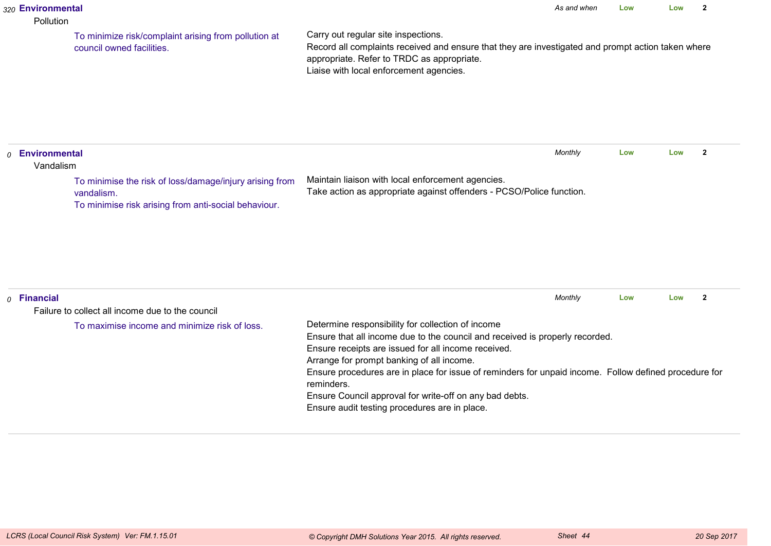#### *320* **Environmental**

#### Pollution

To minimize risk/complaint arising from pollution atcouncil owned facilities.

Carry out regular site inspections.

 Record all complaints received and ensure that they are investigated and prompt action taken whereappropriate. Refer to TRDC as appropriate.Liaise with local enforcement agencies.

*0* **Environmental** VandalismMaintain liaison with local enforcement agencies. Take action as appropriate against offenders - PCSO/Police function.*Monthly* **Low Low <sup>2</sup>** To minimise the risk of loss/damage/injury arising fromvandalism.To minimise risk arising from anti-social behaviour.

| $o$ Financial                                    |                                                                                                                                                                                                                                                                                                                                                                                                                                                                          | Monthly | Low | Low |  |
|--------------------------------------------------|--------------------------------------------------------------------------------------------------------------------------------------------------------------------------------------------------------------------------------------------------------------------------------------------------------------------------------------------------------------------------------------------------------------------------------------------------------------------------|---------|-----|-----|--|
| Failure to collect all income due to the council |                                                                                                                                                                                                                                                                                                                                                                                                                                                                          |         |     |     |  |
| To maximise income and minimize risk of loss.    | Determine responsibility for collection of income<br>Ensure that all income due to the council and received is properly recorded.<br>Ensure receipts are issued for all income received.<br>Arrange for prompt banking of all income.<br>Ensure procedures are in place for issue of reminders for unpaid income. Follow defined procedure for<br>reminders.<br>Ensure Council approval for write-off on any bad debts.<br>Ensure audit testing procedures are in place. |         |     |     |  |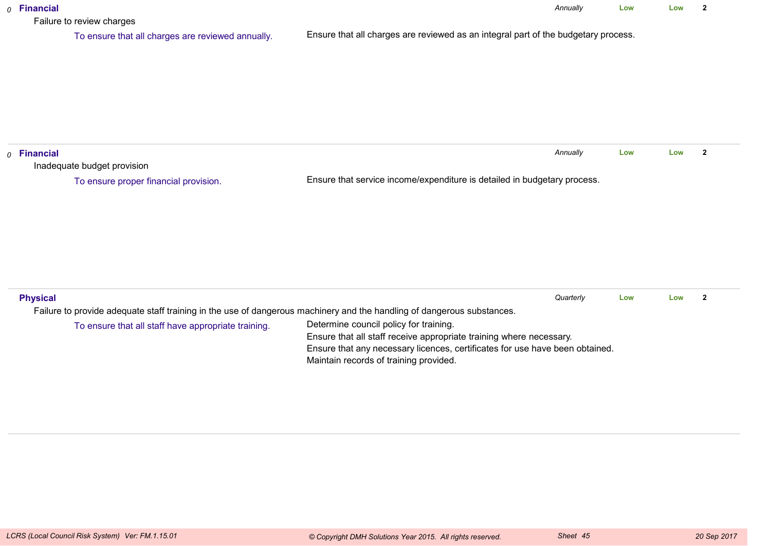| $o$ Financial<br>Failure to review charges                                                                             | Annually                                                                                                               | Low | Low | $\overline{2}$ |
|------------------------------------------------------------------------------------------------------------------------|------------------------------------------------------------------------------------------------------------------------|-----|-----|----------------|
| To ensure that all charges are reviewed annually.                                                                      | Ensure that all charges are reviewed as an integral part of the budgetary process.                                     |     |     |                |
|                                                                                                                        |                                                                                                                        |     |     |                |
|                                                                                                                        |                                                                                                                        |     |     |                |
|                                                                                                                        |                                                                                                                        |     |     |                |
|                                                                                                                        |                                                                                                                        |     |     |                |
| $o$ Financial                                                                                                          | Annually                                                                                                               | Low | Low | $\mathbf{2}$   |
| Inadequate budget provision                                                                                            |                                                                                                                        |     |     |                |
| To ensure proper financial provision.                                                                                  | Ensure that service income/expenditure is detailed in budgetary process.                                               |     |     |                |
|                                                                                                                        |                                                                                                                        |     |     |                |
|                                                                                                                        |                                                                                                                        |     |     |                |
|                                                                                                                        |                                                                                                                        |     |     |                |
|                                                                                                                        |                                                                                                                        |     |     |                |
|                                                                                                                        |                                                                                                                        |     |     |                |
|                                                                                                                        |                                                                                                                        |     |     |                |
| <b>Physical</b>                                                                                                        | Quarterly                                                                                                              | Low | Low | $\overline{2}$ |
| Failure to provide adequate staff training in the use of dangerous machinery and the handling of dangerous substances. |                                                                                                                        |     |     |                |
| To ensure that all staff have appropriate training.                                                                    | Determine council policy for training.                                                                                 |     |     |                |
|                                                                                                                        | Ensure that all staff receive appropriate training where necessary.                                                    |     |     |                |
|                                                                                                                        | Ensure that any necessary licences, certificates for use have been obtained.<br>Maintain records of training provided. |     |     |                |
|                                                                                                                        |                                                                                                                        |     |     |                |
|                                                                                                                        |                                                                                                                        |     |     |                |
|                                                                                                                        |                                                                                                                        |     |     |                |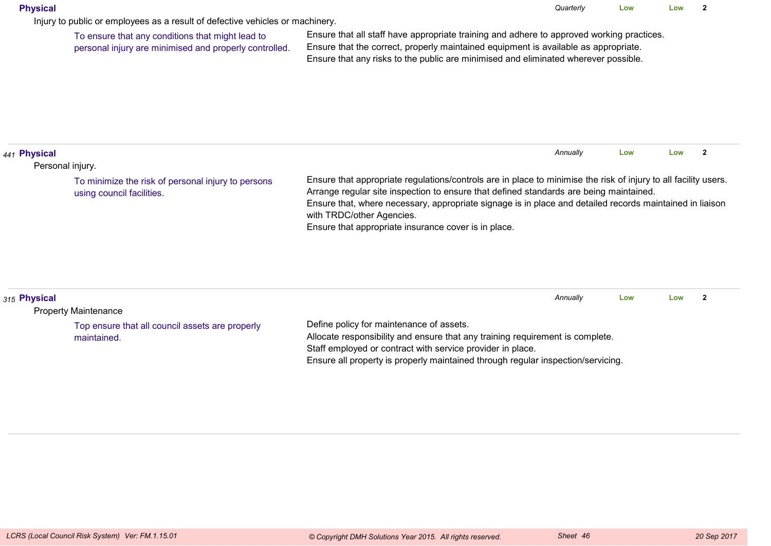#### **Physical**

Injury to public or employees as a result of defective vehicles or machinery.

To ensure that any conditions that might lead topersonal injury are minimised and properly controlled.

Ensure that all staff have appropriate training and adhere to approved working practices.Ensure that the correct, properly maintained equipment is available as appropriate.Ensure that any risks to the public are minimised and eliminated wherever possible.

|                                                                                                                                                                                                                                                                                                                                                                                                                                                                                               | Annually |     |     |  |
|-----------------------------------------------------------------------------------------------------------------------------------------------------------------------------------------------------------------------------------------------------------------------------------------------------------------------------------------------------------------------------------------------------------------------------------------------------------------------------------------------|----------|-----|-----|--|
| 1441 Physical                                                                                                                                                                                                                                                                                                                                                                                                                                                                                 |          | Low | Low |  |
| Personal injury.                                                                                                                                                                                                                                                                                                                                                                                                                                                                              |          |     |     |  |
| Ensure that appropriate regulations/controls are in place to minimise the risk of injury to all facility users.<br>To minimize the risk of personal injury to persons<br>Arrange regular site inspection to ensure that defined standards are being maintained.<br>using council facilities.<br>Ensure that, where necessary, appropriate signage is in place and detailed records maintained in liaison<br>with TRDC/other Agencies.<br>Ensure that appropriate insurance cover is in place. |          |     |     |  |

| 315 Physical                                                   |                                                                                                                           | Annually | Low | Low |  |
|----------------------------------------------------------------|---------------------------------------------------------------------------------------------------------------------------|----------|-----|-----|--|
| <b>Property Maintenance</b>                                    |                                                                                                                           |          |     |     |  |
| Top ensure that all council assets are properly<br>maintained. | Define policy for maintenance of assets.<br>Allocate responsibility and ensure that any training requirement is complete. |          |     |     |  |
|                                                                | Staff employed or contract with service provider in place.                                                                |          |     |     |  |
|                                                                | Ensure all property is properly maintained through regular inspection/servicing.                                          |          |     |     |  |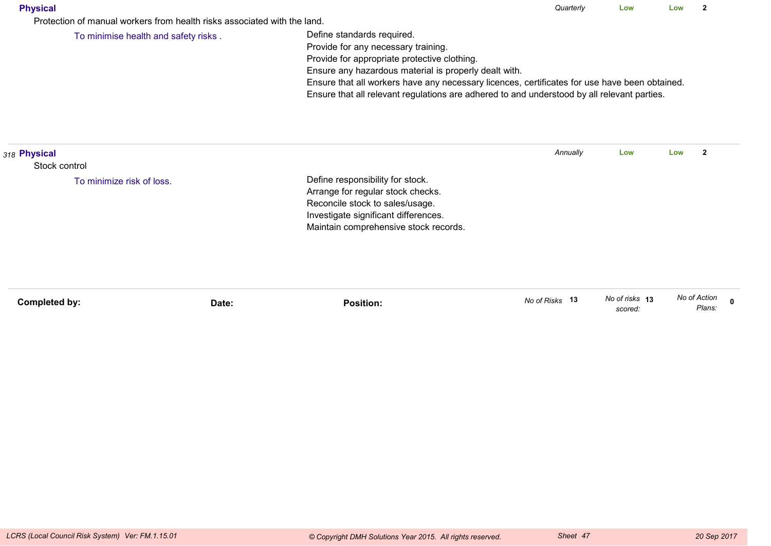| Physical |
|----------|
|----------|

Protection of manual workers from health risks associated with the land.

To minimise health and safety risks .

Define standards required.

Provide for any necessary training.

Provide for appropriate protective clothing.

Ensure any hazardous material is properly dealt with.

Ensure that all workers have any necessary licences, certificates for use have been obtained.

Ensure that all relevant regulations are adhered to and understood by all relevant parties.

| 318 Physical  | Annually<br>Low<br>Define responsibility for stock.<br>To minimize risk of loss.<br>Arrange for regular stock checks.<br>Reconcile stock to sales/usage.<br>Investigate significant differences.<br>Maintain comprehensive stock records.<br>No of Risks 13 |                  | Low<br>2 |                           |                        |  |
|---------------|-------------------------------------------------------------------------------------------------------------------------------------------------------------------------------------------------------------------------------------------------------------|------------------|----------|---------------------------|------------------------|--|
| Stock control |                                                                                                                                                                                                                                                             |                  |          |                           |                        |  |
|               |                                                                                                                                                                                                                                                             |                  |          |                           |                        |  |
| Completed by: | Date:                                                                                                                                                                                                                                                       | <b>Position:</b> |          | No of risks 13<br>scored: | No of Action<br>Plans: |  |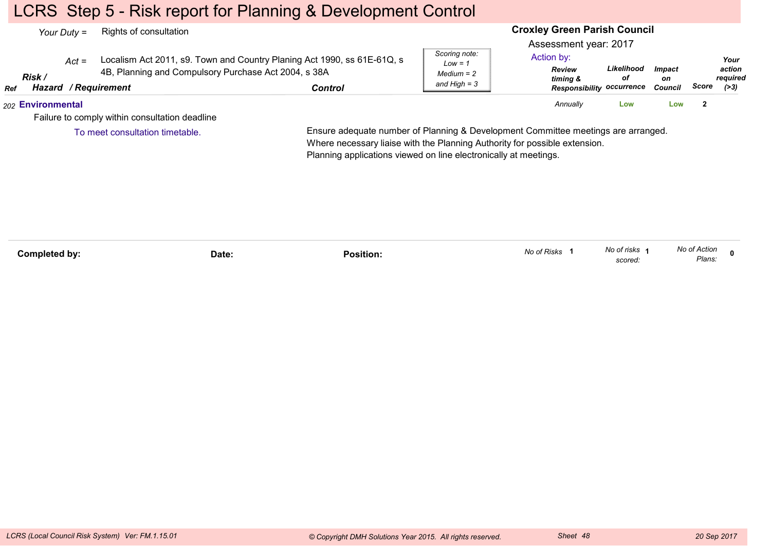## LCRS Step 5 - Risk report for Planning & Development Control

|            | Your Duty $=$     |         | Rights of consultation                                                              |                                                                                    |                                                              | <b>Croxley Green Parish Council</b>                                                                  |                  |                                       |       |                                    |  |
|------------|-------------------|---------|-------------------------------------------------------------------------------------|------------------------------------------------------------------------------------|--------------------------------------------------------------|------------------------------------------------------------------------------------------------------|------------------|---------------------------------------|-------|------------------------------------|--|
| <b>Ref</b> | Risk /            | $Act =$ | 4B, Planning and Compulsory Purchase Act 2004, s 38A<br><b>Hazard / Requirement</b> | Localism Act 2011, s9. Town and Country Planing Act 1990, ss 61E-61Q, s<br>Control | Scoring note:<br>$Low = 1$<br>$Median = 2$<br>and High $=$ 3 | Assessment year: 2017<br>Action by:<br><b>Review</b><br>timing &<br><b>Responsibility occurrence</b> | Likelihood<br>οf | <i><b>Impact</b></i><br>on<br>Council | Score | Your<br>action<br>reauired<br>(>3) |  |
|            | 202 Environmental |         |                                                                                     |                                                                                    |                                                              | Annually                                                                                             | Low              | Low                                   | -2    |                                    |  |
|            |                   |         | Failure to comply within consultation deadline                                      |                                                                                    |                                                              |                                                                                                      |                  |                                       |       |                                    |  |
|            |                   |         | To meet consultation timetable.                                                     | Ensure adequate number of Planning & Development Committee meetings are arranged.  |                                                              |                                                                                                      |                  |                                       |       |                                    |  |

Ensure adequate number of Planning & Development Committee meetings are arranged.Where necessary liaise with the Planning Authority for possible extension.Planning applications viewed on line electronically at meetings.

**Completed by: Date: Position: <sup>0</sup>** *No of risks scored:*No of risks 1 *No of Action Plans:No of Risks* **<sup>1</sup>**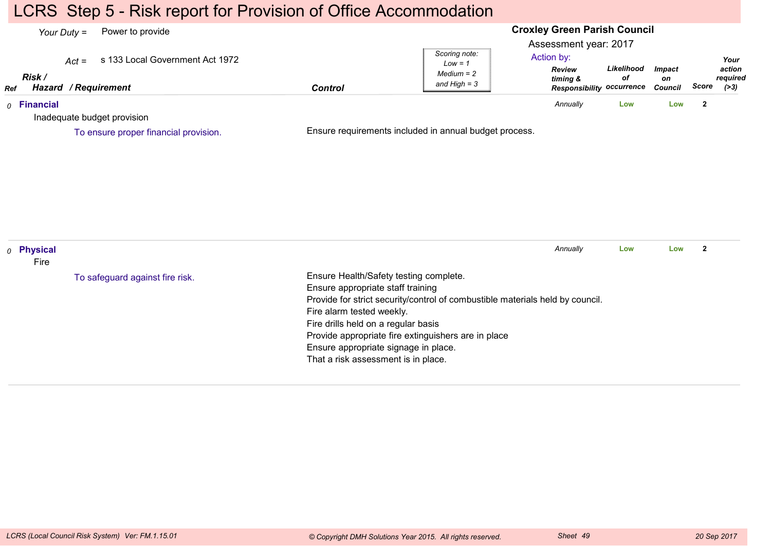## LCRS Step 5 - Risk report for Provision of Office Accommodation

#### **Croxley Green Parish Council**Assessment year: 2017*Your Duty =* Power to provide *Act =* s 133 Local Government Act 1972 *RefRisk / Hazard Control / RequirementReview timing & Responsibility occurrenceLikelihoodofImpacton Council ScoreScoring note:Low = 1 Medium = 2 and High = 3Your action required(>3)*Action by:*0* **Financial** Inadequate budget provisionEnsure requirements included in annual budget process.*Annually* **Low Low <sup>2</sup>** To ensure proper financial provision.*0* **Physical** FireEnsure Health/Safety testing complete.Ensure appropriate staff training Provide for strict security/control of combustible materials held by council.Fire alarm tested weekly.Fire drills held on a regular basis Provide appropriate fire extinguishers are in placeEnsure appropriate signage in place.That a risk assessment is in place.*Annually* **Low Low <sup>2</sup>** To safeguard against fire risk.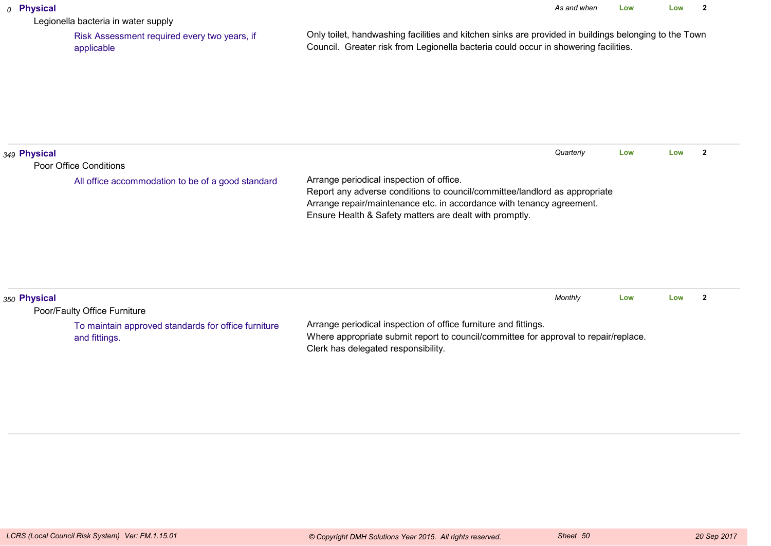#### *0* **Physical**

Legionella bacteria in water supply

 Risk Assessment required every two years, ifapplicable

Only toilet, handwashing facilities and kitchen sinks are provided in buildings belonging to the TownCouncil. Greater risk from Legionella bacteria could occur in showering facilities.

| 349 Physical |                                                                             | Quarterly                                                                                                                                                                                                                                                  | Low | Low |  |
|--------------|-----------------------------------------------------------------------------|------------------------------------------------------------------------------------------------------------------------------------------------------------------------------------------------------------------------------------------------------------|-----|-----|--|
|              | Poor Office Conditions<br>All office accommodation to be of a good standard | Arrange periodical inspection of office.<br>Report any adverse conditions to council/committee/landlord as appropriate<br>Arrange repair/maintenance etc. in accordance with tenancy agreement.<br>Ensure Health & Safety matters are dealt with promptly. |     |     |  |
| 350 Physical | Poor/Faulty Office Furniture                                                | Monthly                                                                                                                                                                                                                                                    | Low | Low |  |
|              | To maintain approved standards for office furniture<br>and fittings.        | Arrange periodical inspection of office furniture and fittings.<br>Where appropriate submit report to council/committee for approval to repair/replace.                                                                                                    |     |     |  |

Clerk has delegated responsibility.

and fittings.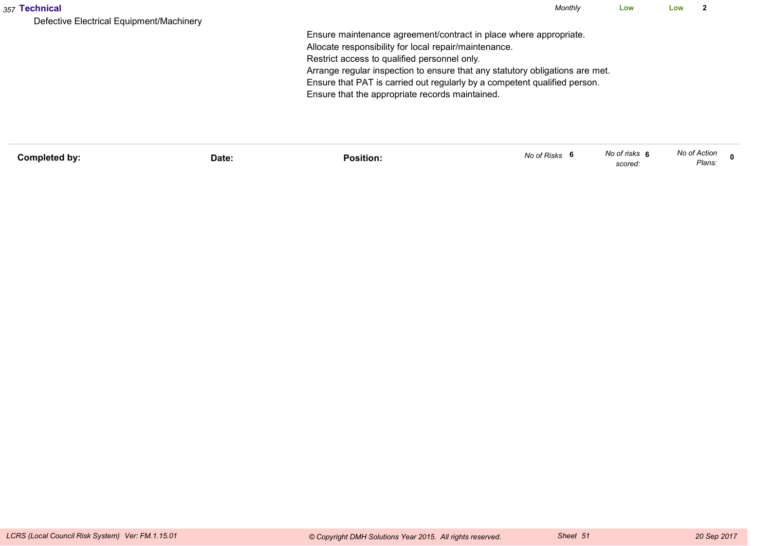| 357 Technical                                                                                         | Monthly | Low | Low | ົ |
|-------------------------------------------------------------------------------------------------------|---------|-----|-----|---|
| Defective Electrical Equipment/Machinery                                                              |         |     |     |   |
| Ensure maintenance agreement/contract in place where appropriate.                                     |         |     |     |   |
| Allocate responsibility for local repair/maintenance.<br>Restrict access to qualified personnel only. |         |     |     |   |
| Arrange regular inspection to ensure that any statutory obligations are met.                          |         |     |     |   |
| Ensure that PAT is carried out regularly by a competent qualified person.                             |         |     |     |   |
| Ensure that the appropriate records maintained.                                                       |         |     |     |   |
|                                                                                                       |         |     |     |   |
|                                                                                                       |         |     |     |   |
|                                                                                                       |         |     |     |   |

| Completed by: | Date: | Position: | No of Risks | No of risks 6<br>scored: | No of Action<br>Plans: |  |
|---------------|-------|-----------|-------------|--------------------------|------------------------|--|
|               |       |           |             |                          |                        |  |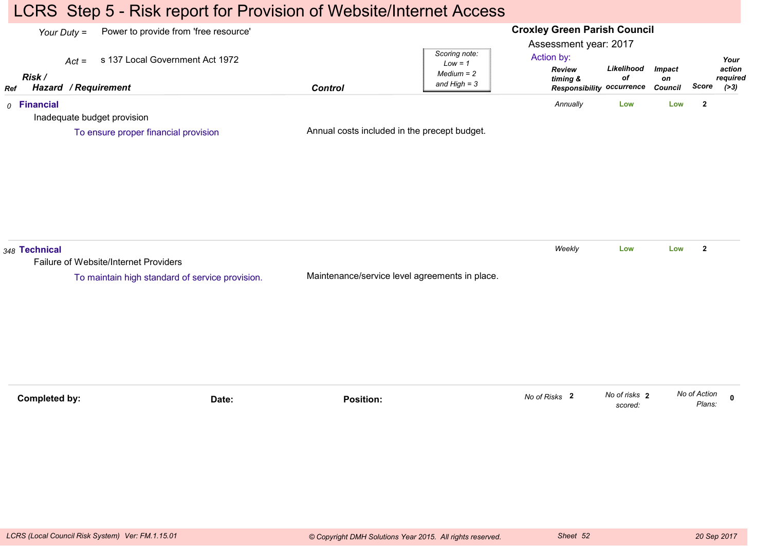## LCRS Step 5 - Risk report for Provision of Website/Internet Access

#### **Croxley Green Parish Council**Assessment year: 2017*Your Duty =* Power to provide from 'free resource' *Act =* s 137 Local Government Act 1972 *RefRisk / Hazard Control / RequirementReview timing & Responsibility occurrenceLikelihoodofImpacton Council ScoreScoring note:Low = 1 Medium = 2 and High = 3Your action required(>3)*Action by:*0* **Financial** Inadequate budget provisionAnnual costs included in the precept budget.*Annually* **Low Low <sup>2</sup>** To ensure proper financial provision*348* **Technical** Failure of Website/Internet ProvidersMaintenance/service level agreements in place.*Weekly* **Low Low <sup>2</sup>** To maintain high standard of service provision.**Completed by: Date: Position: <sup>0</sup>** *No of risks scored:***2** *No of Action Plans:No of Risks* **<sup>2</sup>**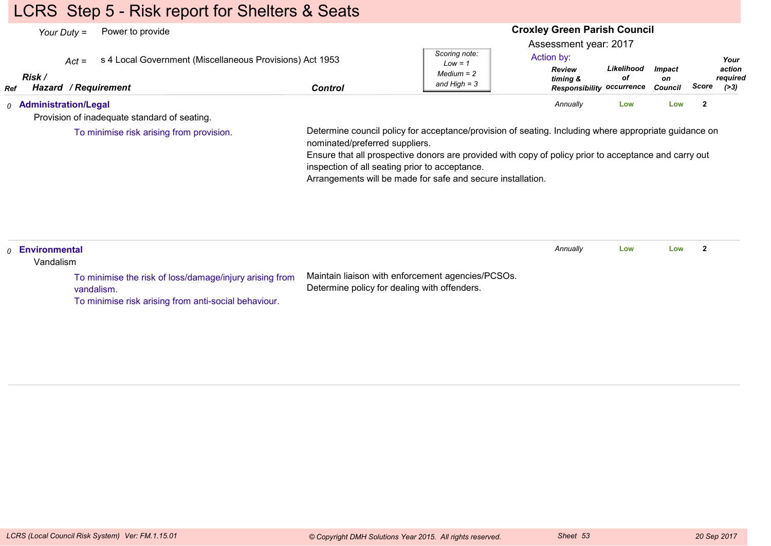# LCRS Step 5 - Risk report for Shelters & Seats

| Power to provide<br>Your Duty $=$                                                                                   |                                                |                                                                                                                                                                      | <b>Croxley Green Parish Council</b>                                                                  |                  |                                       |                                               |
|---------------------------------------------------------------------------------------------------------------------|------------------------------------------------|----------------------------------------------------------------------------------------------------------------------------------------------------------------------|------------------------------------------------------------------------------------------------------|------------------|---------------------------------------|-----------------------------------------------|
| s 4 Local Government (Miscellaneous Provisions) Act 1953<br>$Act =$<br>Risk /<br><b>Hazard / Requirement</b><br>Ref | <b>Control</b>                                 | Scoring note:<br>$Low = 1$<br>$Median = 2$<br>and High $=$ 3                                                                                                         | Assessment year: 2017<br>Action by:<br><b>Review</b><br>timing &<br><b>Responsibility occurrence</b> | Likelihood<br>оf | <b>Impact</b><br>on<br><b>Council</b> | Your<br>action<br>required<br>Score<br>( > 3) |
| 0 Administration/Legal                                                                                              |                                                |                                                                                                                                                                      | Annually                                                                                             | Low              | Low                                   | $\overline{2}$                                |
| Provision of inadequate standard of seating.                                                                        |                                                |                                                                                                                                                                      |                                                                                                      |                  |                                       |                                               |
|                                                                                                                     | inspection of all seating prior to acceptance. | Ensure that all prospective donors are provided with copy of policy prior to acceptance and carry out<br>Arrangements will be made for safe and secure installation. |                                                                                                      |                  |                                       |                                               |
| Environmental<br>$\Omega$<br>Vandalism                                                                              |                                                |                                                                                                                                                                      | Annually                                                                                             | Low              | Low                                   | $\mathbf{2}$                                  |
| To minimise the risk of loss/damage/injury arising from<br>vandalism.                                               | Determine policy for dealing with offenders.   | Maintain liaison with enforcement agencies/PCSOs.                                                                                                                    |                                                                                                      |                  |                                       |                                               |

To minimise risk arising from anti-social behaviour.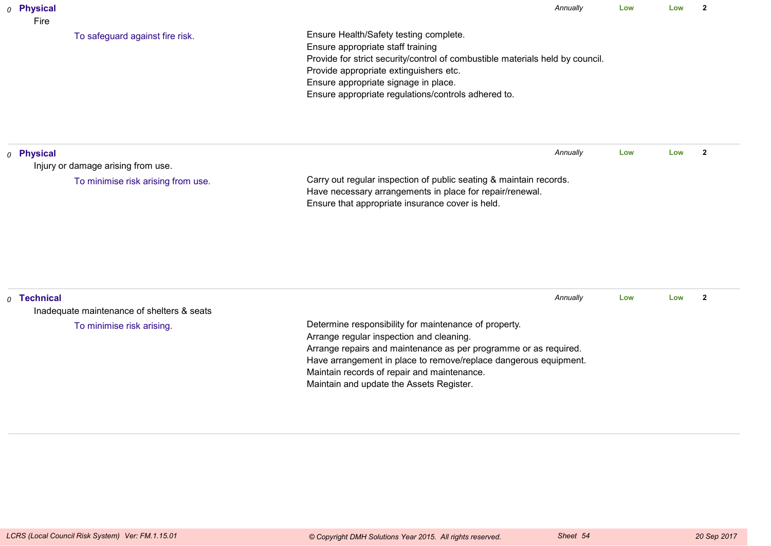| 0 Physical<br>Fire |                                            |                                                                                                                                                                                                                                                                                                       | Annually<br>Low<br>Low |     |     | $\overline{2}$ |
|--------------------|--------------------------------------------|-------------------------------------------------------------------------------------------------------------------------------------------------------------------------------------------------------------------------------------------------------------------------------------------------------|------------------------|-----|-----|----------------|
|                    | To safeguard against fire risk.            | Ensure Health/Safety testing complete.<br>Ensure appropriate staff training<br>Provide for strict security/control of combustible materials held by council.<br>Provide appropriate extinguishers etc.<br>Ensure appropriate signage in place.<br>Ensure appropriate regulations/controls adhered to. |                        |     |     |                |
| $o$ Physical       |                                            |                                                                                                                                                                                                                                                                                                       | Annually               | Low | Low | $\overline{2}$ |
|                    | Injury or damage arising from use.         |                                                                                                                                                                                                                                                                                                       |                        |     |     |                |
|                    | To minimise risk arising from use.         | Carry out regular inspection of public seating & maintain records.<br>Have necessary arrangements in place for repair/renewal.<br>Ensure that appropriate insurance cover is held.                                                                                                                    |                        |     |     |                |
| $0$ Technical      | Inadequate maintenance of shelters & seats |                                                                                                                                                                                                                                                                                                       | Annually               | Low | Low | $\overline{2}$ |
|                    | To minimise risk arising.                  | Determine responsibility for maintenance of property.<br>Arrange regular inspection and cleaning.<br>Arrange repairs and maintenance as per programme or as required.                                                                                                                                 |                        |     |     |                |

Maintain records of repair and maintenance.Maintain and update the Assets Register.

Have arrangement in place to remove/replace dangerous equipment.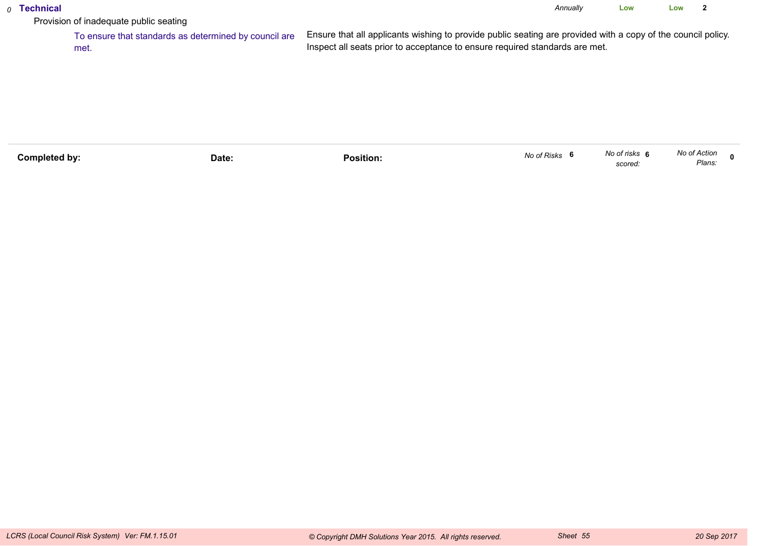#### *0* **Technical**

*Annually* **LowLow <sup>2</sup>**

Provision of inadequate public seating

 To ensure that standards as determined by council areEnsure that all applicants wishing to provide public seating are provided with a copy of the council policy.Inspect all seats prior to acceptance to ensure required standards are met.met.

| Completed by: | Date: | .<br>Position: | No of Risks | No of risks<br>scored. | No of Action<br>Plans. |  |
|---------------|-------|----------------|-------------|------------------------|------------------------|--|
|               |       |                |             |                        |                        |  |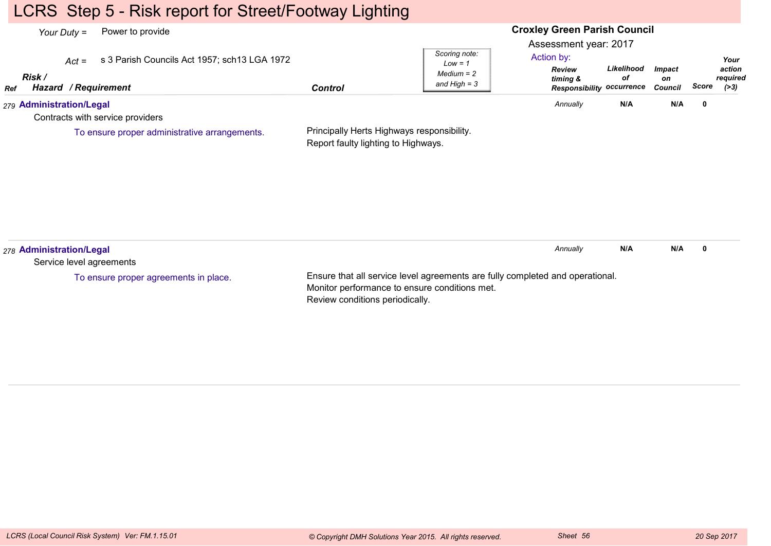# LCRS Step 5 - Risk report for Street/Footway Lighting

#### **Croxley Green Parish Council**Assessment year: 2017*Your Duty =* Power to provide *Act =* s 3 Parish Councils Act 1957; sch13 LGA 1972 *RefRisk / Hazard Control / RequirementReview timing & Responsibility occurrenceLikelihoodofImpacton Council ScoreScoring note:Low = 1 Medium = 2 and High = 3Your action required(>3)*Action by:*279* **Administration/Legal** Contracts with service providersPrincipally Herts Highways responsibility.Report faulty lighting to Highways.*Annually* **N/A N/A <sup>0</sup>** To ensure proper administrative arrangements.*278* **Administration/Legal** Service level agreementsEnsure that all service level agreements are fully completed and operational.Monitor performance to ensure conditions met.*Annually* **N/A N/A <sup>0</sup>** To ensure proper agreements in place.

Review conditions periodically.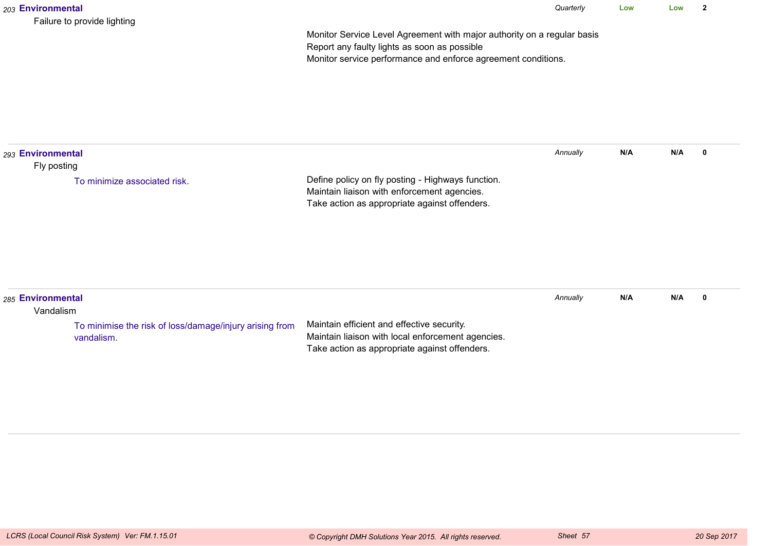| 203 Environmental                | Failure to provide lighting                                           |                                                                                                                                                                                          | Quarterly | Low | Low | $\overline{2}$ |
|----------------------------------|-----------------------------------------------------------------------|------------------------------------------------------------------------------------------------------------------------------------------------------------------------------------------|-----------|-----|-----|----------------|
|                                  |                                                                       | Monitor Service Level Agreement with major authority on a regular basis<br>Report any faulty lights as soon as possible<br>Monitor service performance and enforce agreement conditions. |           |     |     |                |
| 293 Environmental<br>Fly posting |                                                                       |                                                                                                                                                                                          | Annually  | N/A | N/A | $\mathbf 0$    |
|                                  | To minimize associated risk.                                          | Define policy on fly posting - Highways function.<br>Maintain liaison with enforcement agencies.<br>Take action as appropriate against offenders.                                        |           |     |     |                |
| 285 Environmental<br>Vandalism   |                                                                       |                                                                                                                                                                                          | Annually  | N/A | N/A | $\mathbf 0$    |
|                                  | To minimise the risk of loss/damage/injury arising from<br>vandalism. | Maintain efficient and effective security.<br>Maintain liaison with local enforcement agencies.<br>Take action as appropriate against offenders.                                         |           |     |     |                |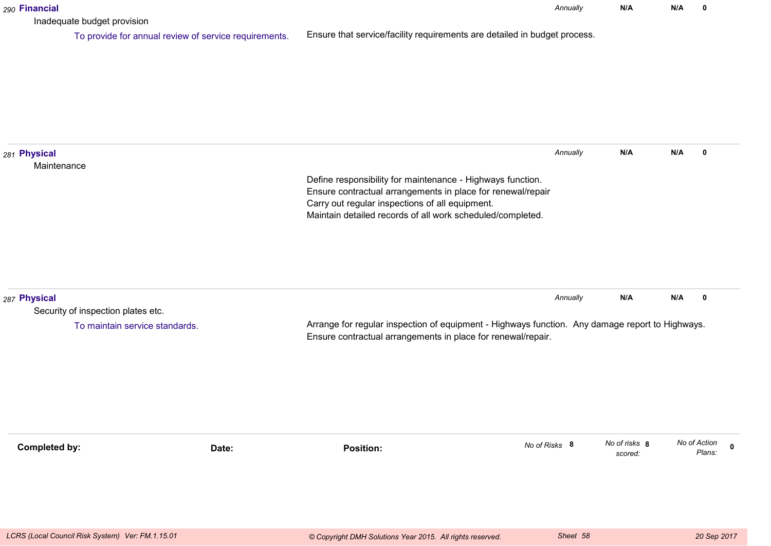| 290 Financial               |                                                                                      |                                                                                                                                                                                                                                            | Annually      | N/A                      | N/A | 0                                     |
|-----------------------------|--------------------------------------------------------------------------------------|--------------------------------------------------------------------------------------------------------------------------------------------------------------------------------------------------------------------------------------------|---------------|--------------------------|-----|---------------------------------------|
|                             | Inadequate budget provision<br>To provide for annual review of service requirements. | Ensure that service/facility requirements are detailed in budget process.                                                                                                                                                                  |               |                          |     |                                       |
| 281 Physical<br>Maintenance |                                                                                      | Define responsibility for maintenance - Highways function.<br>Ensure contractual arrangements in place for renewal/repair<br>Carry out regular inspections of all equipment.<br>Maintain detailed records of all work scheduled/completed. | Annually      | N/A                      | N/A | 0                                     |
| 287 Physical                | Security of inspection plates etc.<br>To maintain service standards.                 | Arrange for regular inspection of equipment - Highways function. Any damage report to Highways.<br>Ensure contractual arrangements in place for renewal/repair.                                                                            | Annually      | N/A                      | N/A | 0                                     |
| <b>Completed by:</b>        | Date:                                                                                | <b>Position:</b>                                                                                                                                                                                                                           | No of Risks 8 | No of risks 8<br>scored: |     | No of Action<br>$\mathbf 0$<br>Plans: |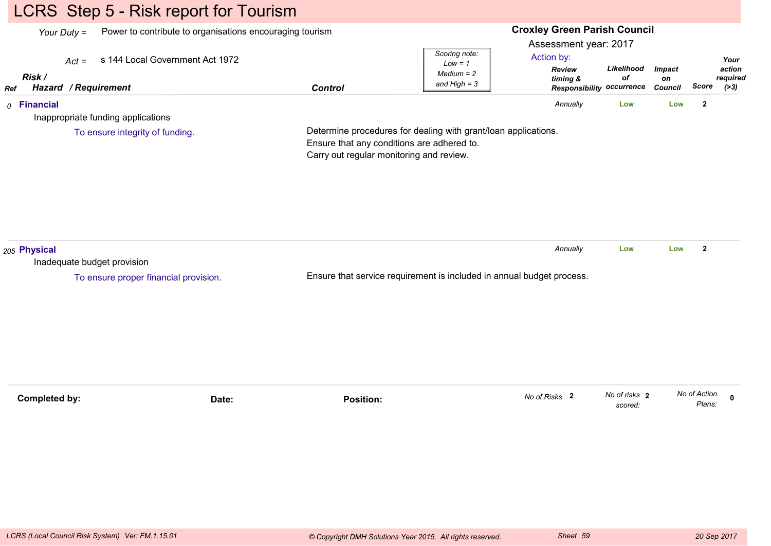# LCRS Step 5 - Risk report for Tourism

|     | Power to contribute to organisations encouraging tourism<br>Your Duty $=$ |         |                                                         |                           |                                                                                                                                                          |                                         | <b>Croxley Green Parish Council</b>                  |                                       |                         |                                     |  |  |  |  |
|-----|---------------------------------------------------------------------------|---------|---------------------------------------------------------|---------------------------|----------------------------------------------------------------------------------------------------------------------------------------------------------|-----------------------------------------|------------------------------------------------------|---------------------------------------|-------------------------|-------------------------------------|--|--|--|--|
|     |                                                                           |         |                                                         |                           | Scoring note:                                                                                                                                            | Assessment year: 2017                   |                                                      |                                       |                         |                                     |  |  |  |  |
| Ref | Risk /                                                                    | $Act =$ | s 144 Local Government Act 1972<br>Hazard / Requirement | <b>Control</b>            | $Low = 1$<br>$Median = 2$<br>and $High = 3$                                                                                                              | Action by:<br><b>Review</b><br>timing & | Likelihood<br>of<br><b>Responsibility occurrence</b> | <b>Impact</b><br>on<br><b>Council</b> | Score                   | Your<br>action<br>required<br>( >3) |  |  |  |  |
|     | $0$ Financial                                                             |         | Inappropriate funding applications                      |                           |                                                                                                                                                          | Annually                                | Low                                                  | Low                                   | $\overline{\mathbf{2}}$ |                                     |  |  |  |  |
|     |                                                                           |         | To ensure integrity of funding.                         |                           | Determine procedures for dealing with grant/loan applications.<br>Ensure that any conditions are adhered to.<br>Carry out regular monitoring and review. |                                         |                                                      |                                       |                         |                                     |  |  |  |  |
|     | 205 Physical                                                              |         | Inadequate budget provision                             |                           |                                                                                                                                                          | Annually                                | Low                                                  | Low                                   | $\overline{2}$          |                                     |  |  |  |  |
|     |                                                                           |         | To ensure proper financial provision.                   |                           | Ensure that service requirement is included in annual budget process.                                                                                    |                                         |                                                      |                                       |                         |                                     |  |  |  |  |
|     |                                                                           |         |                                                         |                           |                                                                                                                                                          |                                         |                                                      |                                       |                         |                                     |  |  |  |  |
|     | Completed by:                                                             |         |                                                         | <b>Position:</b><br>Date: |                                                                                                                                                          | No of Risks 2                           | No of risks 2<br>scored:                             |                                       | No of Action<br>Plans:  | $\mathbf 0$                         |  |  |  |  |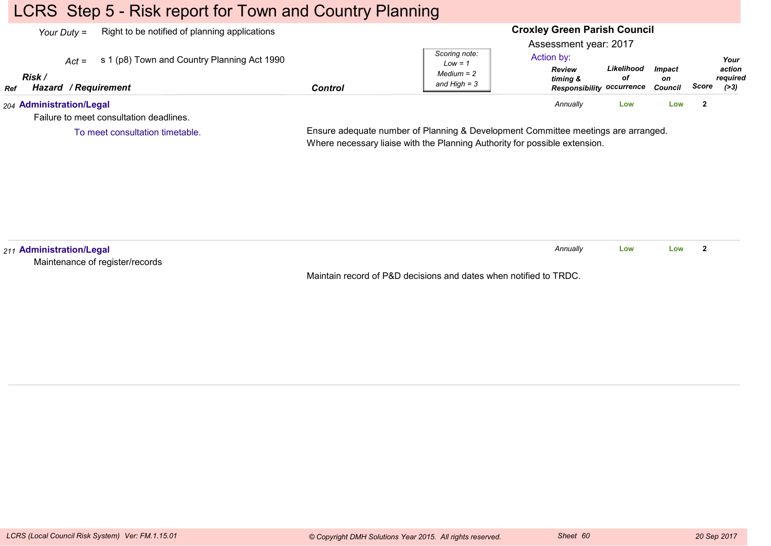# LCRS Step 5 - Risk report for Town and Country Planning

To meet consultation timetable.

| Right to be notified of planning applications<br>Your Duty =        |         |                                | <b>Croxley Green Parish Council</b>                           |                  |                                       |                                       |      |
|---------------------------------------------------------------------|---------|--------------------------------|---------------------------------------------------------------|------------------|---------------------------------------|---------------------------------------|------|
|                                                                     |         |                                | Assessment year: 2017                                         |                  |                                       |                                       |      |
| s 1 (p8) Town and Country Planning Act 1990<br>$Act =$              |         | Scoring note:<br>$Low = 1$     | Action by:                                                    |                  |                                       |                                       | Your |
| Risk /<br><b>Hazard / Requirement</b><br><b>Ref</b>                 | Control | $Median = 2$<br>and High $=$ 3 | <b>Review</b><br>timing &<br><b>Responsibility occurrence</b> | Likelihood<br>οf | <i><b>Impact</b></i><br>on<br>Council | action<br>reauired<br>Score<br>( > 3) |      |
| 204 Administration/Legal<br>Failure to meet consultation deadlines. |         |                                | Annually                                                      | Low              | Low                                   |                                       |      |

Ensure adequate number of Planning & Development Committee meetings are arranged.

Where necessary liaise with the Planning Authority for possible extension.

*211* **Administration/Legal** Maintenance of register/recordsMaintain record of P&D decisions and dates when notified to TRDC.*Annually* **LowLow <sup>2</sup>**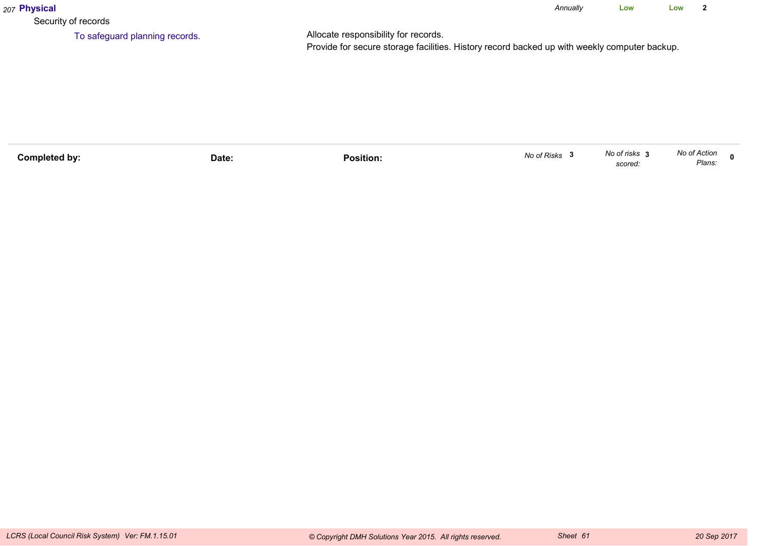| 207 Physical                   |                                                                                                                                      | Annually | Low | Low | $\overline{\mathbf{2}}$ |
|--------------------------------|--------------------------------------------------------------------------------------------------------------------------------------|----------|-----|-----|-------------------------|
| Security of records            |                                                                                                                                      |          |     |     |                         |
| To safeguard planning records. | Allocate responsibility for records.<br>Provide for secure storage facilities. History record backed up with weekly computer backup. |          |     |     |                         |

| Completed bv: | Date: | .<br>Position. | No of Risks | No of risks<br>scored: | No of Action<br>Plans. |  |
|---------------|-------|----------------|-------------|------------------------|------------------------|--|
|               |       |                |             |                        |                        |  |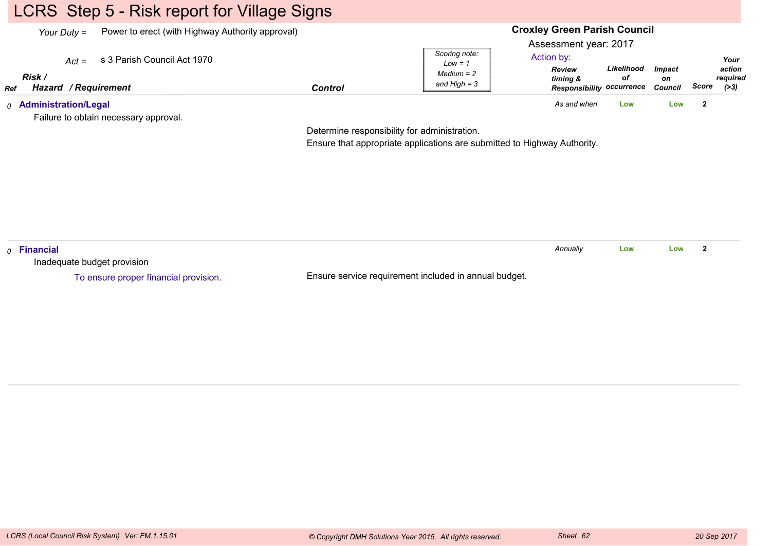# LCRS Step 5 - Risk report for Village Signs

| Your Duty $=$                                  | Power to erect (with Highway Authority approval) |                | <b>Croxley Green Parish Council</b>                          |                                                                                                      |                  |                                       |       |                                      |
|------------------------------------------------|--------------------------------------------------|----------------|--------------------------------------------------------------|------------------------------------------------------------------------------------------------------|------------------|---------------------------------------|-------|--------------------------------------|
| $Act =$<br>Risk<br>Hazard / Requirement<br>Ref | s 3 Parish Council Act 1970                      | <b>Control</b> | Scoring note:<br>$Low = 1$<br>$Median = 2$<br>and High $=$ 3 | Assessment year: 2017<br>Action by:<br><b>Review</b><br>timing &<br><b>Responsibility occurrence</b> | Likelihood<br>οf | <i><b>Impact</b></i><br>on<br>Council | Score | Your<br>action<br>required<br>( > 3) |
| <sub>0</sub> Administration/Legal              | Failure to obtain necessary approval.            |                |                                                              | As and when                                                                                          | Low              | Low                                   |       |                                      |

Determine responsibility for administration.

Ensure that appropriate applications are submitted to Highway Authority.

| $\rho$ Financial                      |                                                       | Annuallv | Low | Low |  |
|---------------------------------------|-------------------------------------------------------|----------|-----|-----|--|
| Inadequate budget provision           |                                                       |          |     |     |  |
| To ensure proper financial provision. | Ensure service requirement included in annual budget. |          |     |     |  |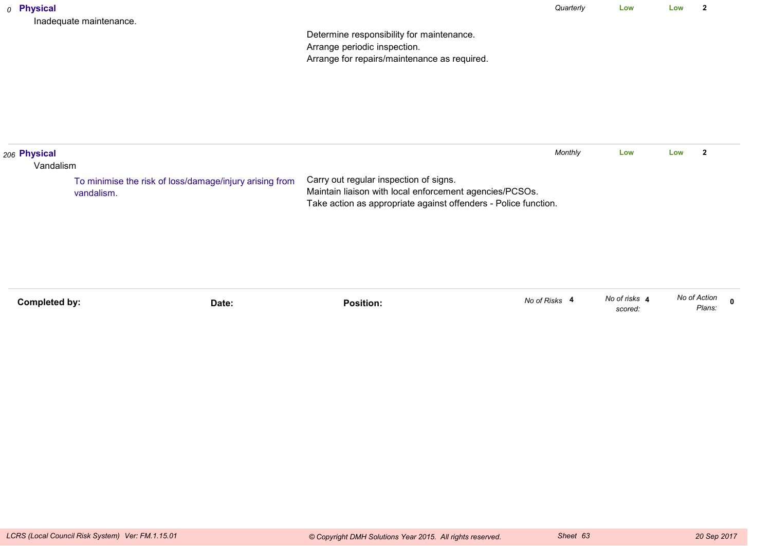|                                    | To minimise the risk of loss/damage/injury arising from<br>vandalism. | Carry out regular inspection of signs.<br>Maintain liaison with local enforcement agencies/PCSOs.<br>Take action as appropriate against offenders - Police function. |           |     |     |                |  |
|------------------------------------|-----------------------------------------------------------------------|----------------------------------------------------------------------------------------------------------------------------------------------------------------------|-----------|-----|-----|----------------|--|
| $_{\rm 206}$ Physical<br>Vandalism |                                                                       |                                                                                                                                                                      | Monthly   | Low | Low | $\overline{2}$ |  |
|                                    | Inadequate maintenance.                                               | Determine responsibility for maintenance.<br>Arrange periodic inspection.<br>Arrange for repairs/maintenance as required.                                            |           |     |     |                |  |
| 0 Physical                         |                                                                       |                                                                                                                                                                      | Quarterly | Low | Low | $\mathbf{2}$   |  |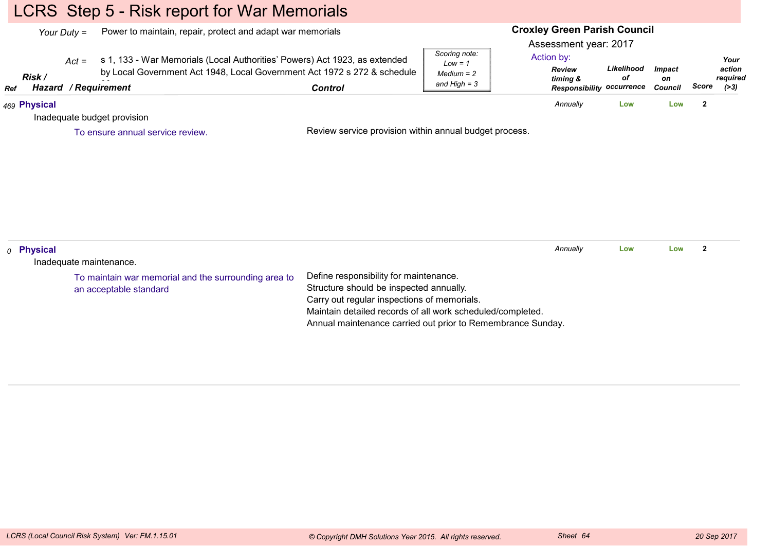# LCRS Step 5 - Risk report for War Memorials

|     |                  | Your Duty = | Power to maintain, repair, protect and adapt war memorials                                                                                                              |                                                                                                                                  |                                                              | <b>Croxley Green Parish Council</b><br>Assessment year: 2017                |                  |                                       |                         |                                     |
|-----|------------------|-------------|-------------------------------------------------------------------------------------------------------------------------------------------------------------------------|----------------------------------------------------------------------------------------------------------------------------------|--------------------------------------------------------------|-----------------------------------------------------------------------------|------------------|---------------------------------------|-------------------------|-------------------------------------|
| Ref | Risk /<br>Hazard | $Act =$     | s 1, 133 - War Memorials (Local Authorities' Powers) Act 1923, as extended<br>by Local Government Act 1948, Local Government Act 1972 s 272 & schedule<br>/ Requirement | <b>Control</b>                                                                                                                   | Scoring note:<br>$Low = 1$<br>$Median = 2$<br>and $High = 3$ | Action by:<br><b>Review</b><br>timing &<br><b>Responsibility occurrence</b> | Likelihood<br>оf | <b>Impact</b><br>on<br><b>Council</b> | Score                   | Your<br>action<br>required<br>( >3) |
|     | 469 Physical     |             |                                                                                                                                                                         |                                                                                                                                  |                                                              | Annually                                                                    | Low              | Low                                   | $\overline{\mathbf{2}}$ |                                     |
|     |                  |             | Inadequate budget provision                                                                                                                                             |                                                                                                                                  |                                                              |                                                                             |                  |                                       |                         |                                     |
|     |                  |             | To ensure annual service review.                                                                                                                                        | Review service provision within annual budget process.                                                                           |                                                              |                                                                             |                  |                                       |                         |                                     |
|     |                  |             |                                                                                                                                                                         |                                                                                                                                  |                                                              |                                                                             |                  |                                       |                         |                                     |
|     | $o$ Physical     |             |                                                                                                                                                                         |                                                                                                                                  |                                                              | Annually                                                                    | Low              | Low                                   | $\overline{\mathbf{2}}$ |                                     |
|     |                  |             | Inadequate maintenance.                                                                                                                                                 |                                                                                                                                  |                                                              |                                                                             |                  |                                       |                         |                                     |
|     |                  |             | To maintain war memorial and the surrounding area to<br>an acceptable standard                                                                                          | Define responsibility for maintenance.<br>Structure should be inspected annually.<br>Carry out regular inspections of memorials. |                                                              |                                                                             |                  |                                       |                         |                                     |

 Maintain detailed records of all work scheduled/completed.Annual maintenance carried out prior to Remembrance Sunday.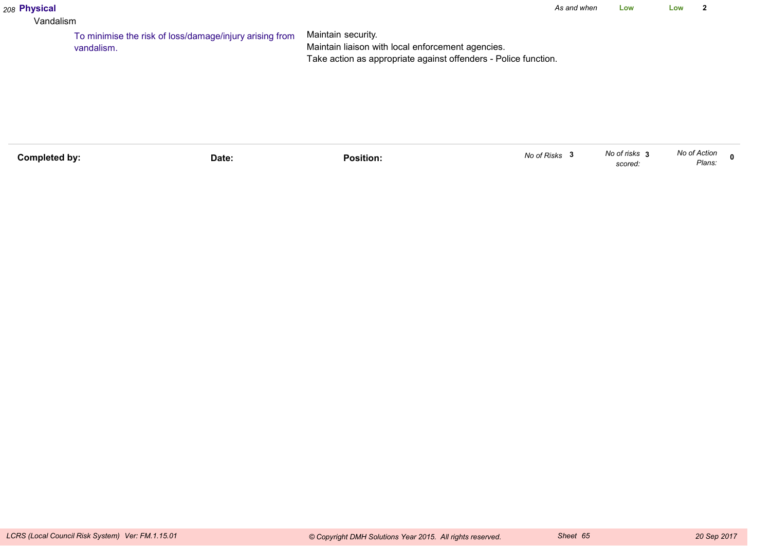#### *208* **Physical**

#### Vandalism

Maintain security. Maintain liaison with local enforcement agencies. Take action as appropriate against offenders - Police function.To minimise the risk of loss/damage/injury arising fromvandalism.

| No of Risks<br>Completed by:<br>Position:<br>Date: | No of risks<br>scored: | No of Action<br>Plans: |  |
|----------------------------------------------------|------------------------|------------------------|--|
|----------------------------------------------------|------------------------|------------------------|--|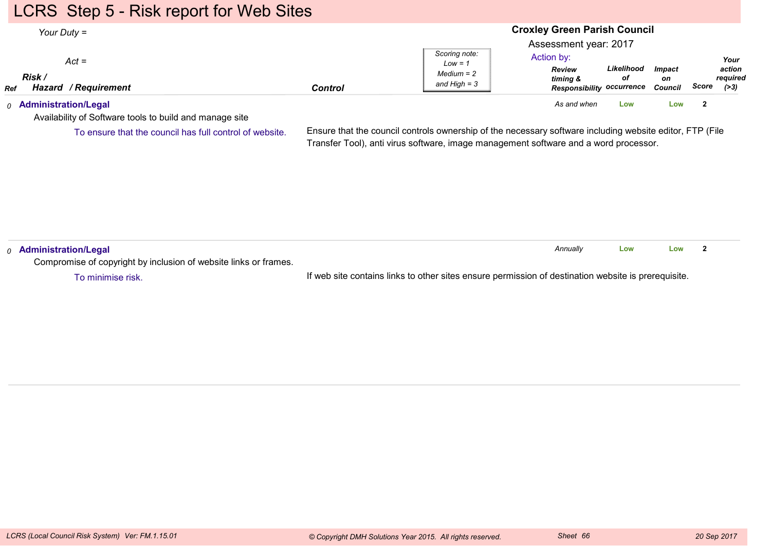# LCRS Step 5 - Risk report for Web Sites

#### **Croxley Green Parish Council**Assessment year: 2017*Your Duty =Act =RefRisk / Hazard Control / RequirementReview timing & Responsibility occurrence CouncilLikelihoodofImpacton ScoreScoring note:Low = 1 Medium = 2 and High = 3Your action required(>3)*Action by:*0* **Administration/Legal** *As and when* **LowLow <sup>2</sup>**

Availability of Software tools to build and manage site

To ensure that the council has full control of website.

Ensure that the council controls ownership of the necessary software including website editor, FTP (FileTransfer Tool), anti virus software, image management software and a word processor.

| Administration/Legal                                             |                                                                                                     | Annually | Low | Low |  |
|------------------------------------------------------------------|-----------------------------------------------------------------------------------------------------|----------|-----|-----|--|
| Compromise of copyright by inclusion of website links or frames. |                                                                                                     |          |     |     |  |
| To minimise risk.                                                | If web site contains links to other sites ensure permission of destination website is prerequisite. |          |     |     |  |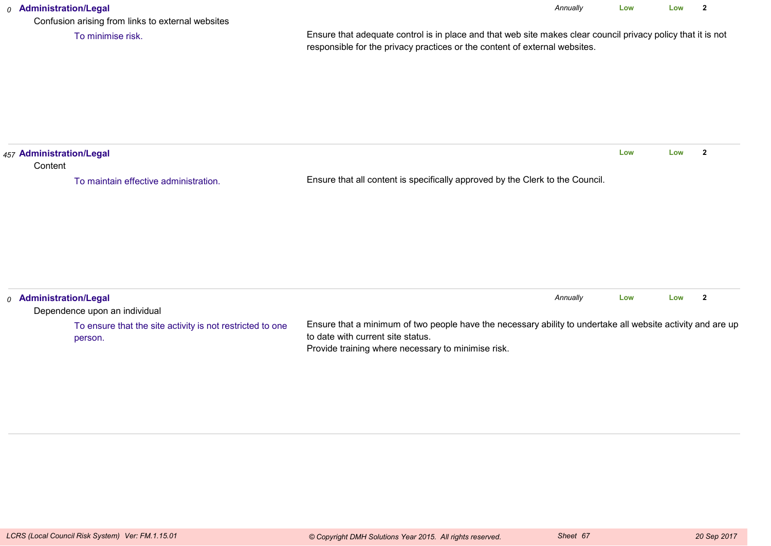### *0* **Administration/Legal** Confusion arising from links to external websitesEnsure that adequate control is in place and that web site makes clear council privacy policy that it is notresponsible for the privacy practices or the content of external websites.*Annually* **Low Low <sup>2</sup>** To minimise risk.*457* **Administration/Legal Content** Ensure that all content is specifically approved by the Clerk to the Council.**Low Low <sup>2</sup>** To maintain effective administration.*0* **Administration/Legal** Dependence upon an individual*Annually* **LowLow <sup>2</sup>**

Ensure that a minimum of two people have the necessary ability to undertake all website activity and are upto date with current site status.Provide training where necessary to minimise risk.To ensure that the site activity is not restricted to oneperson.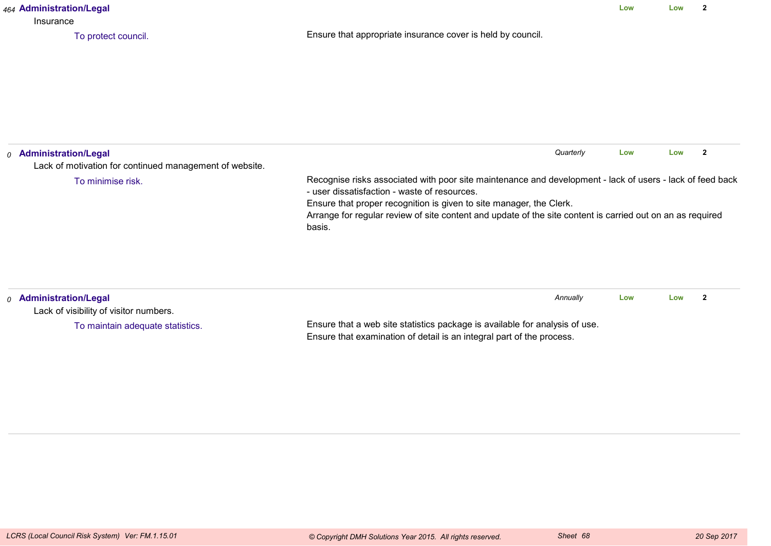| 464 Administration/Legal<br>Insurance                                                        | Low                                                                                                                                                                                                                                                                                                                                                      | Low | $\mathbf{2}$ |              |
|----------------------------------------------------------------------------------------------|----------------------------------------------------------------------------------------------------------------------------------------------------------------------------------------------------------------------------------------------------------------------------------------------------------------------------------------------------------|-----|--------------|--------------|
| To protect council.                                                                          | Ensure that appropriate insurance cover is held by council.                                                                                                                                                                                                                                                                                              |     |              |              |
| <sub>0</sub> Administration/Legal<br>Lack of motivation for continued management of website. | Quarterly                                                                                                                                                                                                                                                                                                                                                | Low | Low          | $\mathbf{2}$ |
| To minimise risk.                                                                            | Recognise risks associated with poor site maintenance and development - lack of users - lack of feed back<br>- user dissatisfaction - waste of resources.<br>Ensure that proper recognition is given to site manager, the Clerk.<br>Arrange for regular review of site content and update of the site content is carried out on an as required<br>basis. |     |              |              |
| 0 Administration/Legal<br>Lack of visibility of visitor numbers.                             | Annually                                                                                                                                                                                                                                                                                                                                                 | Low | Low          | $\mathbf{2}$ |
| To maintain adequate statistics.                                                             | Ensure that a web site statistics package is available for analysis of use.<br>Ensure that examination of detail is an integral part of the process.                                                                                                                                                                                                     |     |              |              |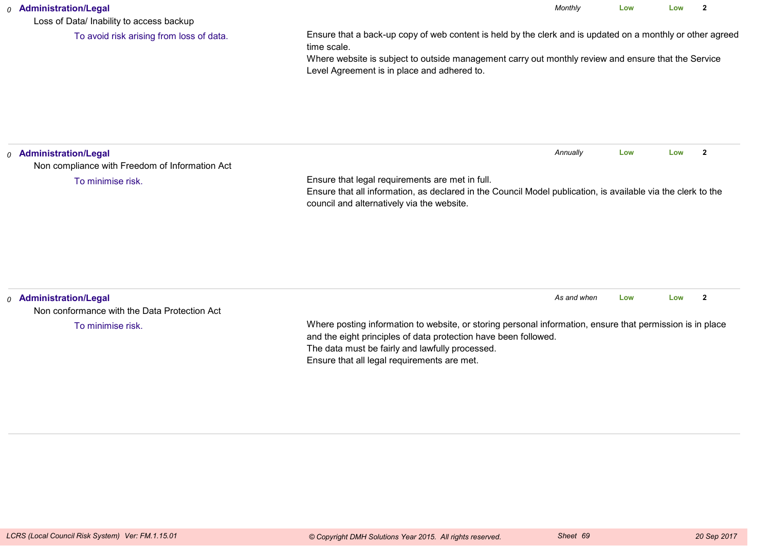#### *0* **Administration/Legal**

Loss of Data/ Inability to access backup

To avoid risk arising from loss of data.

Ensure that a back-up copy of web content is held by the clerk and is updated on a monthly or other agreedtime scale.

*Monthly*

**Low**

**Low <sup>2</sup>**

 Where website is subject to outside management carry out monthly review and ensure that the ServiceLevel Agreement is in place and adhered to.

| <sub>0</sub> Administration/Legal<br>Non compliance with Freedom of Information Act |                                                                                                                                                                                                                                                                                | Annually    | Low | Low |              |
|-------------------------------------------------------------------------------------|--------------------------------------------------------------------------------------------------------------------------------------------------------------------------------------------------------------------------------------------------------------------------------|-------------|-----|-----|--------------|
| To minimise risk.                                                                   | Ensure that legal requirements are met in full.<br>Ensure that all information, as declared in the Council Model publication, is available via the clerk to the<br>council and alternatively via the website.                                                                  |             |     |     |              |
|                                                                                     |                                                                                                                                                                                                                                                                                |             |     |     |              |
| <sub>0</sub> Administration/Legal<br>Non conformance with the Data Protection Act   |                                                                                                                                                                                                                                                                                | As and when | Low | Low | $\mathbf{2}$ |
| To minimise risk.                                                                   | Where posting information to website, or storing personal information, ensure that permission is in place<br>and the eight principles of data protection have been followed.<br>The data must be fairly and lawfully processed.<br>Ensure that all legal requirements are met. |             |     |     |              |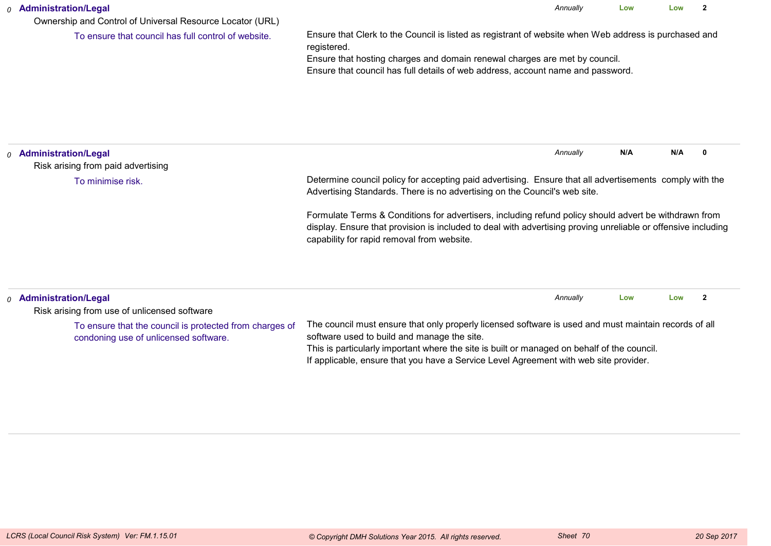| <b>Administration/Legal</b><br>0<br>Ownership and Control of Universal Resource Locator (URL) | Annually<br>Low<br>Low                                                                                                                                                                                                                                                                |          |        |        |  |  |  |  |
|-----------------------------------------------------------------------------------------------|---------------------------------------------------------------------------------------------------------------------------------------------------------------------------------------------------------------------------------------------------------------------------------------|----------|--------|--------|--|--|--|--|
| To ensure that council has full control of website.                                           | Ensure that Clerk to the Council is listed as registrant of website when Web address is purchased and<br>registered.<br>Ensure that hosting charges and domain renewal charges are met by council.<br>Ensure that council has full details of web address, account name and password. |          |        |        |  |  |  |  |
| <b>Administration/Legal</b><br>$\Omega$<br>Risk arising from paid advertising                 |                                                                                                                                                                                                                                                                                       | Annually | N/A    | N/A    |  |  |  |  |
| To minimise risk.                                                                             | Determine council policy for accepting paid advertising. Ensure that all advertisements comply with the<br>Advertising Standards. There is no advertising on the Council's web site.                                                                                                  |          |        |        |  |  |  |  |
|                                                                                               | Formulate Terms & Conditions for advertisers, including refund policy should advert be withdrawn from<br>display. Ensure that provision is included to deal with advertising proving unreliable or offensive including<br>capability for rapid removal from website.                  |          |        |        |  |  |  |  |
| Adminictration/Logal                                                                          |                                                                                                                                                                                                                                                                                       | Annually | $\sim$ | $\sim$ |  |  |  |  |

| $_0$ Administration/Legal                                                                        |                                                                                                                                                                                                                                                                                                                                              | Annually | Low | Low |  |
|--------------------------------------------------------------------------------------------------|----------------------------------------------------------------------------------------------------------------------------------------------------------------------------------------------------------------------------------------------------------------------------------------------------------------------------------------------|----------|-----|-----|--|
| Risk arising from use of unlicensed software                                                     |                                                                                                                                                                                                                                                                                                                                              |          |     |     |  |
| To ensure that the council is protected from charges of<br>condoning use of unlicensed software. | The council must ensure that only properly licensed software is used and must maintain records of all<br>software used to build and manage the site.<br>This is particularly important where the site is built or managed on behalf of the council.<br>If applicable, ensure that you have a Service Level Agreement with web site provider. |          |     |     |  |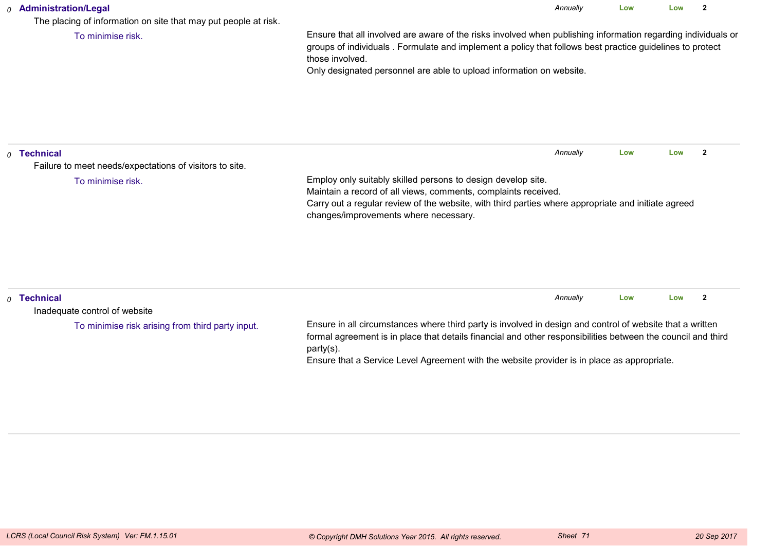### *0* **Administration/Legal**

The placing of information on site that may put people at risk.

To minimise risk.

Ensure that all involved are aware of the risks involved when publishing information regarding individuals orgroups of individuals . Formulate and implement a policy that follows best practice guidelines to protectthose involved.

*Annually*

**Low**

**Low <sup>2</sup>**

Only designated personnel are able to upload information on website.

| $\rho$ Technical | Failure to meet needs/expectations of visitors to site. |                                                                                                                                                                                                                                                                                                                                       | Annually | Low | Low |                |  |
|------------------|---------------------------------------------------------|---------------------------------------------------------------------------------------------------------------------------------------------------------------------------------------------------------------------------------------------------------------------------------------------------------------------------------------|----------|-----|-----|----------------|--|
|                  | To minimise risk.                                       | Employ only suitably skilled persons to design develop site.<br>Maintain a record of all views, comments, complaints received.<br>Carry out a regular review of the website, with third parties where appropriate and initiate agreed<br>changes/improvements where necessary.                                                        |          |     |     |                |  |
| $\rho$ Technical | Inadequate control of website                           |                                                                                                                                                                                                                                                                                                                                       | Annually | Low | Low | $\overline{2}$ |  |
|                  | To minimise risk arising from third party input.        | Ensure in all circumstances where third party is involved in design and control of website that a written<br>formal agreement is in place that details financial and other responsibilities between the council and third<br>party(s).<br>Ensure that a Service Level Agreement with the website provider is in place as appropriate. |          |     |     |                |  |